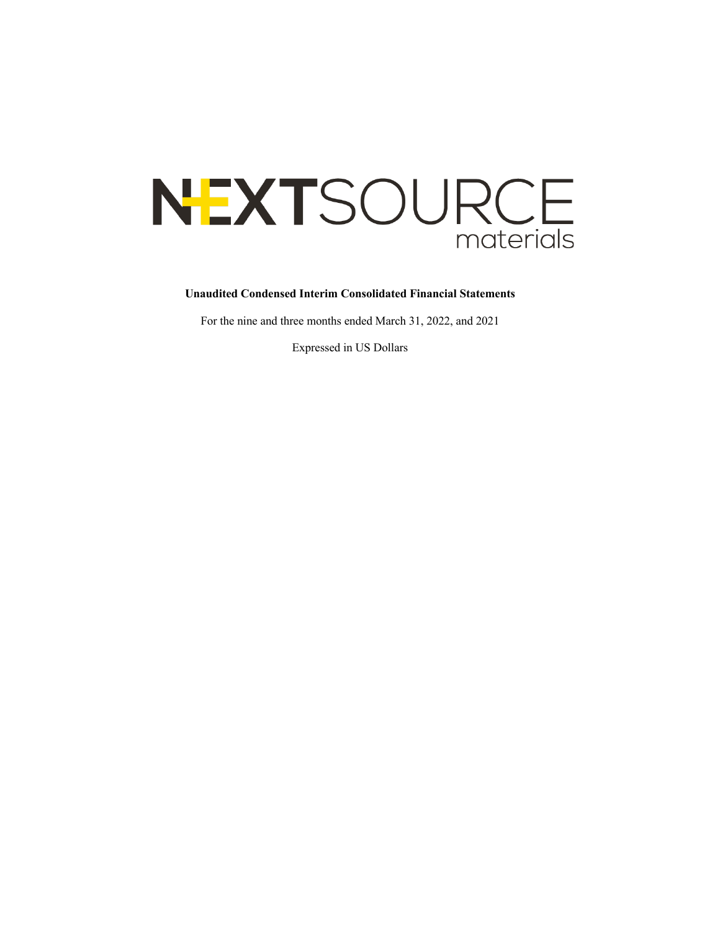# NEXTSOURCE materials

## **Unaudited Condensed Interim Consolidated Financial Statements**

For the nine and three months ended March 31, 2022, and 2021

Expressed in US Dollars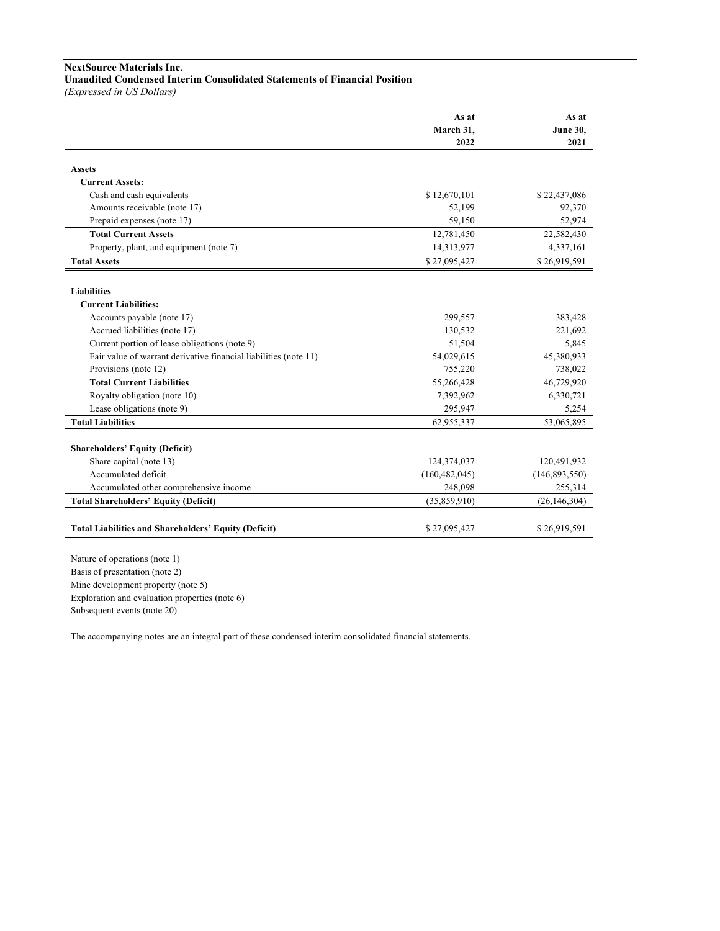# **NextSource Materials Inc.**

# **Unaudited Condensed Interim Consolidated Statements of Financial Position**

*(Expressed in US Dollars)*

|                                                                  | As at           | As at           |
|------------------------------------------------------------------|-----------------|-----------------|
|                                                                  | March 31,       | <b>June 30,</b> |
|                                                                  | 2022            | 2021            |
| <b>Assets</b>                                                    |                 |                 |
| <b>Current Assets:</b>                                           |                 |                 |
| Cash and cash equivalents                                        | \$12,670,101    | \$22,437,086    |
| Amounts receivable (note 17)                                     | 52,199          | 92,370          |
| Prepaid expenses (note 17)                                       | 59,150          | 52,974          |
| <b>Total Current Assets</b>                                      | 12,781,450      | 22,582,430      |
| Property, plant, and equipment (note 7)                          | 14,313,977      | 4,337,161       |
| <b>Total Assets</b>                                              | \$27,095,427    | \$26,919,591    |
|                                                                  |                 |                 |
| <b>Liabilities</b>                                               |                 |                 |
| <b>Current Liabilities:</b>                                      |                 |                 |
| Accounts payable (note 17)                                       | 299,557         | 383,428         |
| Accrued liabilities (note 17)                                    | 130,532         | 221,692         |
| Current portion of lease obligations (note 9)                    | 51,504          | 5,845           |
| Fair value of warrant derivative financial liabilities (note 11) | 54,029,615      | 45,380,933      |
| Provisions (note 12)                                             | 755,220         | 738,022         |
| <b>Total Current Liabilities</b>                                 | 55,266,428      | 46,729,920      |
| Royalty obligation (note 10)                                     | 7,392,962       | 6,330,721       |
| Lease obligations (note 9)                                       | 295,947         | 5,254           |
| <b>Total Liabilities</b>                                         | 62,955,337      | 53,065,895      |
|                                                                  |                 |                 |
| <b>Shareholders' Equity (Deficit)</b>                            |                 |                 |
| Share capital (note 13)                                          | 124,374,037     | 120,491,932     |
| Accumulated deficit                                              | (160, 482, 045) | (146, 893, 550) |
| Accumulated other comprehensive income                           | 248,098         | 255,314         |
| <b>Total Shareholders' Equity (Deficit)</b>                      | (35,859,910)    | (26, 146, 304)  |
|                                                                  |                 |                 |
| <b>Total Liabilities and Shareholders' Equity (Deficit)</b>      | \$27,095,427    | \$26,919,591    |

Nature of operations (note 1) Basis of presentation (note 2) Mine development property (note 5) Exploration and evaluation properties (note 6) Subsequent events (note 20)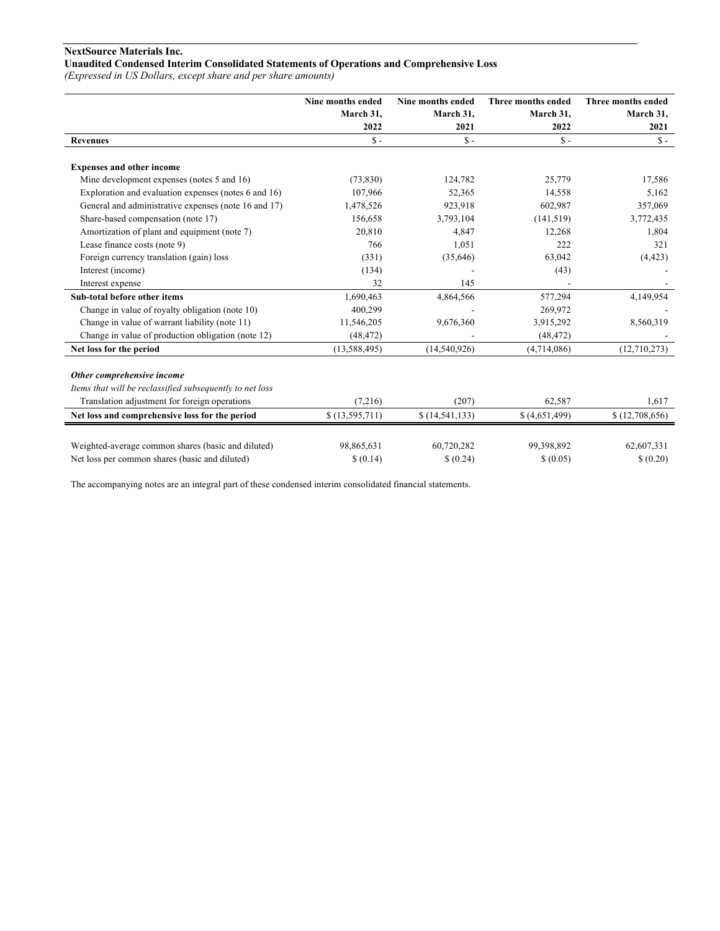# **NextSource Materials Inc.**

# **Unaudited Condensed Interim Consolidated Statements of Operations and Comprehensive Loss**

*(Expressed in US Dollars, except share and per share amounts)*

|                                                          | Nine months ended | Nine months ended | <b>Three months ended</b> | Three months ended |
|----------------------------------------------------------|-------------------|-------------------|---------------------------|--------------------|
|                                                          | March 31,         | March 31,         | March 31,                 | March 31,          |
|                                                          | 2022              | 2021              | 2022                      | 2021               |
| <b>Revenues</b>                                          | $S -$             | $S -$             | $S -$                     | $S -$              |
| <b>Expenses and other income</b>                         |                   |                   |                           |                    |
| Mine development expenses (notes 5 and 16)               | (73, 830)         | 124,782           | 25,779                    | 17,586             |
| Exploration and evaluation expenses (notes 6 and 16)     | 107,966           | 52,365            | 14,558                    | 5,162              |
| General and administrative expenses (note 16 and 17)     | 1,478,526         | 923,918           | 602,987                   | 357,069            |
| Share-based compensation (note 17)                       | 156,658           | 3,793,104         | (141, 519)                | 3,772,435          |
| Amortization of plant and equipment (note 7)             | 20,810            | 4,847             | 12,268                    | 1,804              |
| Lease finance costs (note 9)                             | 766               | 1,051             | 222                       | 321                |
| Foreign currency translation (gain) loss                 | (331)             | (35,646)          | 63,042                    | (4, 423)           |
| Interest (income)                                        | (134)             |                   | (43)                      |                    |
| Interest expense                                         | 32                | 145               |                           |                    |
| Sub-total before other items                             | 1,690,463         | 4,864,566         | 577,294                   | 4,149,954          |
| Change in value of royalty obligation (note 10)          | 400,299           |                   | 269,972                   |                    |
| Change in value of warrant liability (note 11)           | 11,546,205        | 9,676,360         | 3,915,292                 | 8,560,319          |
| Change in value of production obligation (note 12)       | (48, 472)         |                   | (48, 472)                 |                    |
| Net loss for the period                                  | (13, 588, 495)    | (14,540,926)      | (4,714,086)               | (12,710,273)       |
| Other comprehensive income                               |                   |                   |                           |                    |
| Items that will be reclassified subsequently to net loss |                   |                   |                           |                    |
| Translation adjustment for foreign operations            | (7,216)           | (207)             | 62,587                    | 1,617              |
| Net loss and comprehensive loss for the period           | \$(13,595,711)    | \$(14, 541, 133)  | \$ (4,651,499)            | \$(12,708,656)     |
|                                                          |                   |                   |                           |                    |
| Weighted-average common shares (basic and diluted)       | 98,865,631        | 60,720,282        | 99.398.892                | 62,607,331         |
| Net loss per common shares (basic and diluted)           | \$(0.14)          | \$ (0.24)         | \$ (0.05)                 | \$ (0.20)          |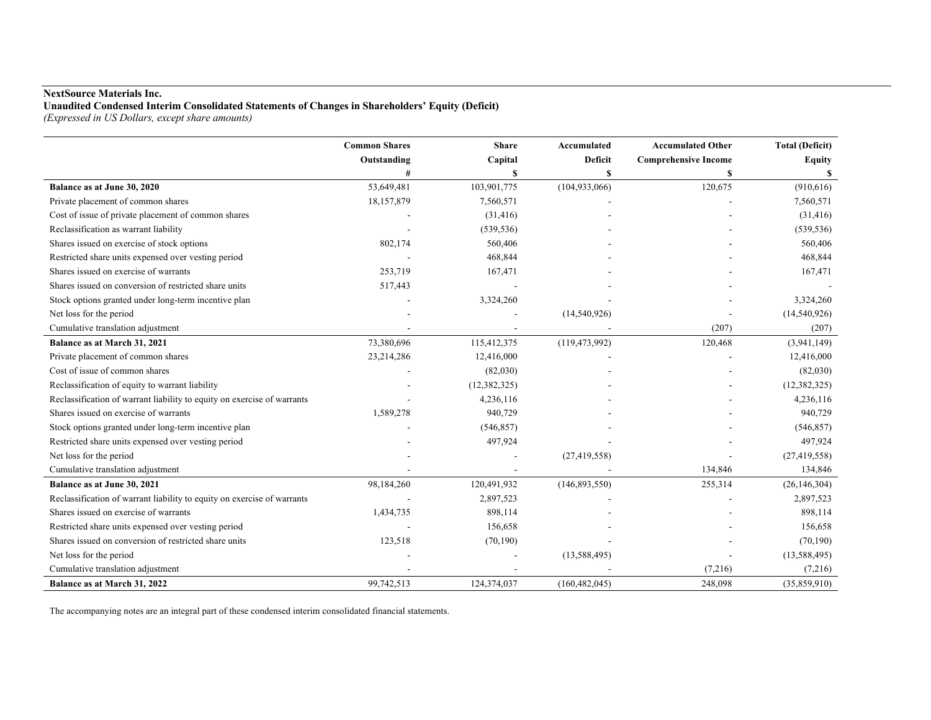# **NextSource Materials Inc.**

**Unaudited Condensed Interim Consolidated Statements of Changes in Shareholders' Equity (Deficit)**

*(Expressed in US Dollars, except share amounts)*

|                                                                         | <b>Common Shares</b> | <b>Share</b>   | Accumulated     | <b>Accumulated Other</b>    | <b>Total (Deficit)</b> |
|-------------------------------------------------------------------------|----------------------|----------------|-----------------|-----------------------------|------------------------|
|                                                                         | Outstanding          | Capital        | <b>Deficit</b>  | <b>Comprehensive Income</b> | <b>Equity</b>          |
|                                                                         | #                    | \$             | S               | S                           |                        |
| Balance as at June 30, 2020                                             | 53,649,481           | 103,901,775    | (104, 933, 066) | 120,675                     | (910, 616)             |
| Private placement of common shares                                      | 18,157,879           | 7,560,571      |                 |                             | 7,560,571              |
| Cost of issue of private placement of common shares                     |                      | (31, 416)      |                 |                             | (31, 416)              |
| Reclassification as warrant liability                                   |                      | (539, 536)     |                 |                             | (539, 536)             |
| Shares issued on exercise of stock options                              | 802,174              | 560,406        |                 |                             | 560,406                |
| Restricted share units expensed over vesting period                     |                      | 468,844        |                 |                             | 468,844                |
| Shares issued on exercise of warrants                                   | 253,719              | 167,471        |                 |                             | 167,471                |
| Shares issued on conversion of restricted share units                   | 517,443              |                |                 |                             |                        |
| Stock options granted under long-term incentive plan                    |                      | 3,324,260      |                 |                             | 3,324,260              |
| Net loss for the period                                                 |                      |                | (14,540,926)    |                             | (14,540,926)           |
| Cumulative translation adjustment                                       |                      |                |                 | (207)                       | (207)                  |
| Balance as at March 31, 2021                                            | 73,380,696           | 115,412,375    | (119, 473, 992) | 120,468                     | (3,941,149)            |
| Private placement of common shares                                      | 23,214,286           | 12,416,000     |                 |                             | 12,416,000             |
| Cost of issue of common shares                                          |                      | (82,030)       |                 |                             | (82,030)               |
| Reclassification of equity to warrant liability                         |                      | (12, 382, 325) |                 |                             | (12, 382, 325)         |
| Reclassification of warrant liability to equity on exercise of warrants |                      | 4,236,116      |                 |                             | 4,236,116              |
| Shares issued on exercise of warrants                                   | 1,589,278            | 940,729        |                 |                             | 940,729                |
| Stock options granted under long-term incentive plan                    |                      | (546, 857)     |                 |                             | (546, 857)             |
| Restricted share units expensed over vesting period                     |                      | 497,924        |                 |                             | 497,924                |
| Net loss for the period                                                 |                      |                | (27, 419, 558)  |                             | (27, 419, 558)         |
| Cumulative translation adjustment                                       |                      |                |                 | 134,846                     | 134,846                |
| Balance as at June 30, 2021                                             | 98,184,260           | 120,491,932    | (146, 893, 550) | 255,314                     | (26, 146, 304)         |
| Reclassification of warrant liability to equity on exercise of warrants |                      | 2,897,523      |                 |                             | 2,897,523              |
| Shares issued on exercise of warrants                                   | 1,434,735            | 898,114        |                 |                             | 898,114                |
| Restricted share units expensed over vesting period                     |                      | 156,658        |                 |                             | 156,658                |
| Shares issued on conversion of restricted share units                   | 123,518              | (70, 190)      |                 |                             | (70, 190)              |
| Net loss for the period                                                 |                      |                | (13, 588, 495)  |                             | (13, 588, 495)         |
| Cumulative translation adjustment                                       |                      |                |                 | (7,216)                     | (7,216)                |
| Balance as at March 31, 2022                                            | 99,742,513           | 124,374,037    | (160, 482, 045) | 248,098                     | (35,859,910)           |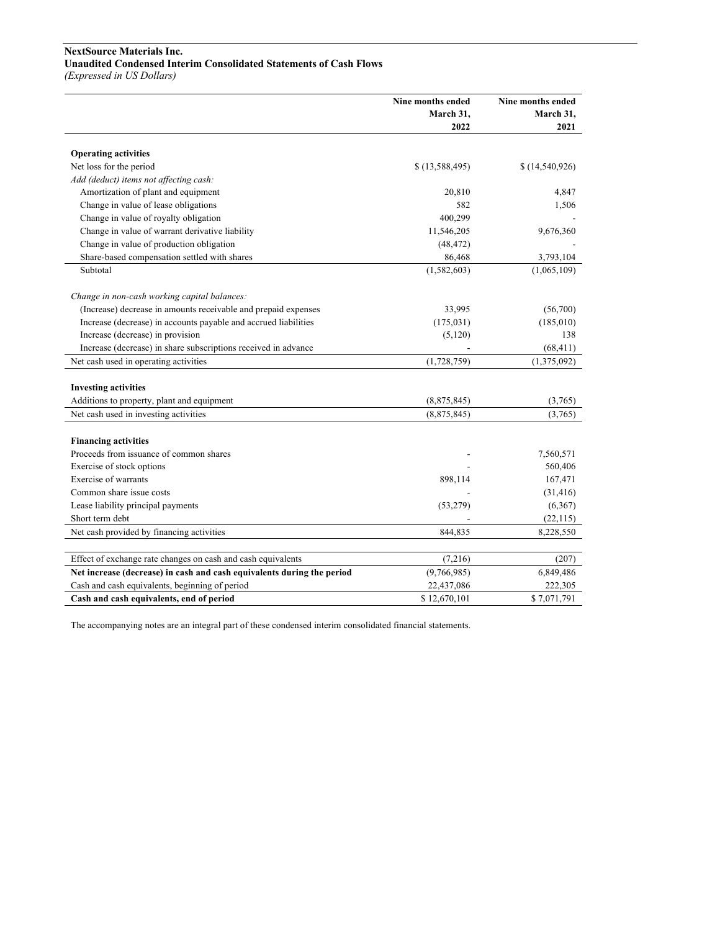# **NextSource Materials Inc. Unaudited Condensed Interim Consolidated Statements of Cash Flows**

*(Expressed in US Dollars)*

|                                                                        | Nine months ended<br>March 31, | Nine months ended<br>March 31, |
|------------------------------------------------------------------------|--------------------------------|--------------------------------|
|                                                                        | 2022                           | 2021                           |
|                                                                        |                                |                                |
| <b>Operating activities</b>                                            |                                |                                |
| Net loss for the period                                                | \$(13,588,495)                 | \$(14,540,926)                 |
| Add (deduct) items not affecting cash:                                 |                                |                                |
| Amortization of plant and equipment                                    | 20,810                         | 4,847                          |
| Change in value of lease obligations                                   | 582                            | 1,506                          |
| Change in value of royalty obligation                                  | 400,299                        |                                |
| Change in value of warrant derivative liability                        | 11,546,205                     | 9,676,360                      |
| Change in value of production obligation                               | (48, 472)                      |                                |
| Share-based compensation settled with shares                           | 86,468                         | 3,793,104                      |
| Subtotal                                                               | (1,582,603)                    | (1,065,109)                    |
| Change in non-cash working capital balances:                           |                                |                                |
| (Increase) decrease in amounts receivable and prepaid expenses         | 33,995                         | (56,700)                       |
| Increase (decrease) in accounts payable and accrued liabilities        | (175, 031)                     | (185,010)                      |
| Increase (decrease) in provision                                       | (5,120)                        | 138                            |
| Increase (decrease) in share subscriptions received in advance         |                                | (68, 411)                      |
| Net cash used in operating activities                                  | (1,728,759)                    | (1,375,092)                    |
|                                                                        |                                |                                |
| <b>Investing activities</b>                                            |                                |                                |
| Additions to property, plant and equipment                             | (8,875,845)                    | (3,765)                        |
| Net cash used in investing activities                                  | (8,875,845)                    | (3,765)                        |
|                                                                        |                                |                                |
| <b>Financing activities</b>                                            |                                |                                |
| Proceeds from issuance of common shares                                |                                | 7,560,571                      |
| Exercise of stock options                                              |                                | 560,406                        |
| Exercise of warrants                                                   | 898,114                        | 167,471                        |
| Common share issue costs                                               |                                | (31, 416)                      |
| Lease liability principal payments                                     | (53, 279)                      | (6,367)                        |
| Short term debt                                                        |                                | (22, 115)                      |
| Net cash provided by financing activities                              | 844,835                        | 8,228,550                      |
|                                                                        |                                |                                |
| Effect of exchange rate changes on cash and cash equivalents           | (7,216)                        | (207)                          |
| Net increase (decrease) in cash and cash equivalents during the period | (9,766,985)                    | 6,849,486                      |
| Cash and cash equivalents, beginning of period                         | 22,437,086                     | 222,305                        |
| Cash and cash equivalents, end of period                               | \$12,670,101                   | \$7,071,791                    |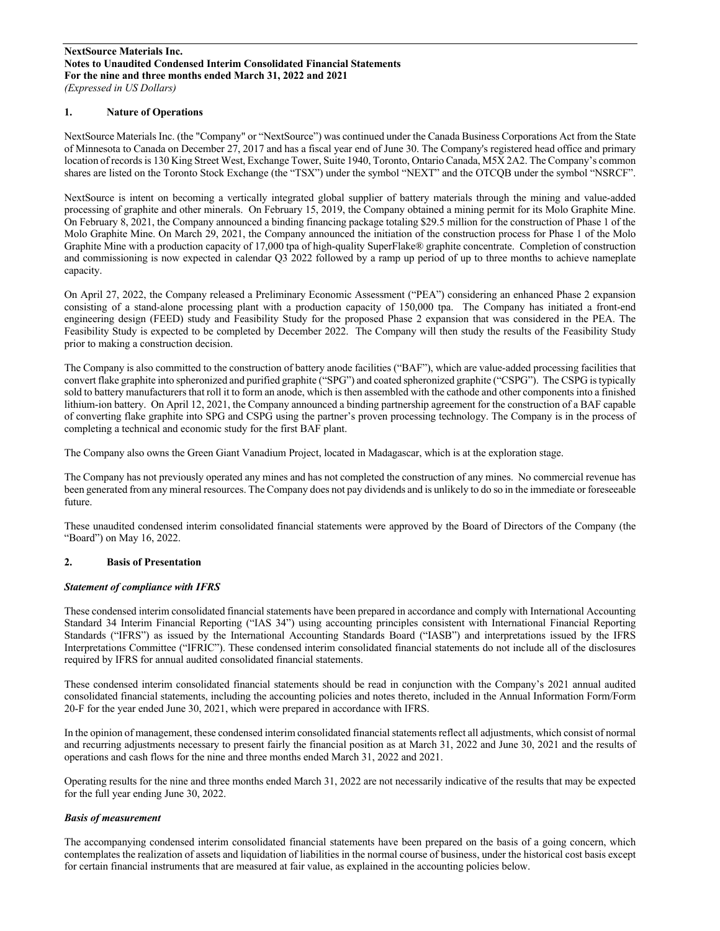## **1. Nature of Operations**

NextSource Materials Inc. (the "Company" or "NextSource") was continued under the Canada Business Corporations Act from the State of Minnesota to Canada on December 27, 2017 and has a fiscal year end of June 30. The Company's registered head office and primary location of records is 130 King Street West, Exchange Tower, Suite 1940, Toronto, Ontario Canada, M5X 2A2. The Company's common shares are listed on the Toronto Stock Exchange (the "TSX") under the symbol "NEXT" and the OTCQB under the symbol "NSRCF".

NextSource is intent on becoming a vertically integrated global supplier of battery materials through the mining and value-added processing of graphite and other minerals. On February 15, 2019, the Company obtained a mining permit for its Molo Graphite Mine. On February 8, 2021, the Company announced a binding financing package totaling \$29.5 million for the construction of Phase 1 of the Molo Graphite Mine. On March 29, 2021, the Company announced the initiation of the construction process for Phase 1 of the Molo Graphite Mine with a production capacity of 17,000 tpa of high-quality SuperFlake® graphite concentrate. Completion of construction and commissioning is now expected in calendar Q3 2022 followed by a ramp up period of up to three months to achieve nameplate capacity.

On April 27, 2022, the Company released a Preliminary Economic Assessment ("PEA") considering an enhanced Phase 2 expansion consisting of a stand-alone processing plant with a production capacity of 150,000 tpa. The Company has initiated a front-end engineering design (FEED) study and Feasibility Study for the proposed Phase 2 expansion that was considered in the PEA. The Feasibility Study is expected to be completed by December 2022. The Company will then study the results of the Feasibility Study prior to making a construction decision.

The Company is also committed to the construction of battery anode facilities ("BAF"), which are value-added processing facilities that convert flake graphite into spheronized and purified graphite ("SPG") and coated spheronized graphite ("CSPG"). The CSPG is typically sold to battery manufacturers that roll it to form an anode, which is then assembled with the cathode and other components into a finished lithium-ion battery. On April 12, 2021, the Company announced a binding partnership agreement for the construction of a BAF capable of converting flake graphite into SPG and CSPG using the partner's proven processing technology. The Company is in the process of completing a technical and economic study for the first BAF plant.

The Company also owns the Green Giant Vanadium Project, located in Madagascar, which is at the exploration stage.

The Company has not previously operated any mines and has not completed the construction of any mines. No commercial revenue has been generated from any mineral resources. The Company does not pay dividends and is unlikely to do so in the immediate or foreseeable future.

These unaudited condensed interim consolidated financial statements were approved by the Board of Directors of the Company (the "Board") on May 16, 2022.

## **2. Basis of Presentation**

#### *Statement of compliance with IFRS*

These condensed interim consolidated financial statements have been prepared in accordance and comply with International Accounting Standard 34 Interim Financial Reporting ("IAS 34") using accounting principles consistent with International Financial Reporting Standards ("IFRS") as issued by the International Accounting Standards Board ("IASB") and interpretations issued by the IFRS Interpretations Committee ("IFRIC"). These condensed interim consolidated financial statements do not include all of the disclosures required by IFRS for annual audited consolidated financial statements.

These condensed interim consolidated financial statements should be read in conjunction with the Company's 2021 annual audited consolidated financial statements, including the accounting policies and notes thereto, included in the Annual Information Form/Form 20-F for the year ended June 30, 2021, which were prepared in accordance with IFRS.

In the opinion of management, these condensed interim consolidated financial statements reflect all adjustments, which consist of normal and recurring adjustments necessary to present fairly the financial position as at March 31, 2022 and June 30, 2021 and the results of operations and cash flows for the nine and three months ended March 31, 2022 and 2021.

Operating results for the nine and three months ended March 31, 2022 are not necessarily indicative of the results that may be expected for the full year ending June 30, 2022.

## *Basis of measurement*

The accompanying condensed interim consolidated financial statements have been prepared on the basis of a going concern, which contemplates the realization of assets and liquidation of liabilities in the normal course of business, under the historical cost basis except for certain financial instruments that are measured at fair value, as explained in the accounting policies below.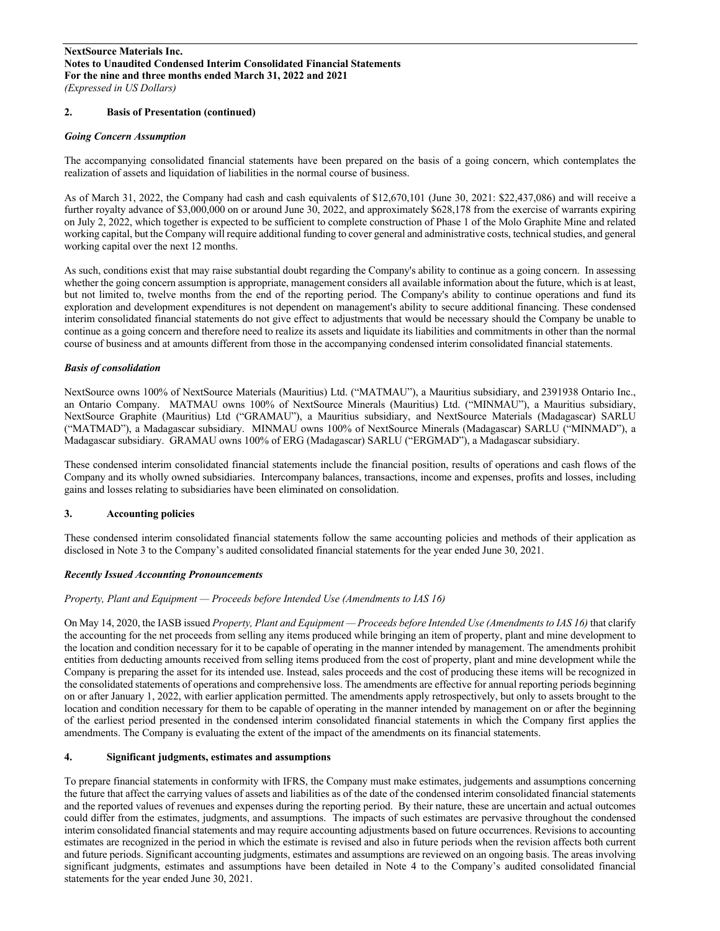## **2. Basis of Presentation (continued)**

#### *Going Concern Assumption*

The accompanying consolidated financial statements have been prepared on the basis of a going concern, which contemplates the realization of assets and liquidation of liabilities in the normal course of business.

As of March 31, 2022, the Company had cash and cash equivalents of \$12,670,101 (June 30, 2021: \$22,437,086) and will receive a further royalty advance of \$3,000,000 on or around June 30, 2022, and approximately \$628,178 from the exercise of warrants expiring on July 2, 2022, which together is expected to be sufficient to complete construction of Phase 1 of the Molo Graphite Mine and related working capital, but the Company will require additional funding to cover general and administrative costs, technical studies, and general working capital over the next 12 months.

As such, conditions exist that may raise substantial doubt regarding the Company's ability to continue as a going concern. In assessing whether the going concern assumption is appropriate, management considers all available information about the future, which is at least, but not limited to, twelve months from the end of the reporting period. The Company's ability to continue operations and fund its exploration and development expenditures is not dependent on management's ability to secure additional financing. These condensed interim consolidated financial statements do not give effect to adjustments that would be necessary should the Company be unable to continue as a going concern and therefore need to realize its assets and liquidate its liabilities and commitments in other than the normal course of business and at amounts different from those in the accompanying condensed interim consolidated financial statements.

#### *Basis of consolidation*

NextSource owns 100% of NextSource Materials (Mauritius) Ltd. ("MATMAU"), a Mauritius subsidiary, and 2391938 Ontario Inc., an Ontario Company. MATMAU owns 100% of NextSource Minerals (Mauritius) Ltd. ("MINMAU"), a Mauritius subsidiary, NextSource Graphite (Mauritius) Ltd ("GRAMAU"), a Mauritius subsidiary, and NextSource Materials (Madagascar) SARLU ("MATMAD"), a Madagascar subsidiary. MINMAU owns 100% of NextSource Minerals (Madagascar) SARLU ("MINMAD"), a Madagascar subsidiary. GRAMAU owns 100% of ERG (Madagascar) SARLU ("ERGMAD"), a Madagascar subsidiary.

These condensed interim consolidated financial statements include the financial position, results of operations and cash flows of the Company and its wholly owned subsidiaries. Intercompany balances, transactions, income and expenses, profits and losses, including gains and losses relating to subsidiaries have been eliminated on consolidation.

## **3. Accounting policies**

These condensed interim consolidated financial statements follow the same accounting policies and methods of their application as disclosed in Note 3 to the Company's audited consolidated financial statements for the year ended June 30, 2021.

## *Recently Issued Accounting Pronouncements*

#### *Property, Plant and Equipment — Proceeds before Intended Use (Amendments to IAS 16)*

On May 14, 2020, the IASB issued *Property, Plant and Equipment — Proceeds before Intended Use (Amendments to IAS 16)* that clarify the accounting for the net proceeds from selling any items produced while bringing an item of property, plant and mine development to the location and condition necessary for it to be capable of operating in the manner intended by management. The amendments prohibit entities from deducting amounts received from selling items produced from the cost of property, plant and mine development while the Company is preparing the asset for its intended use. Instead, sales proceeds and the cost of producing these items will be recognized in the consolidated statements of operations and comprehensive loss. The amendments are effective for annual reporting periods beginning on or after January 1, 2022, with earlier application permitted. The amendments apply retrospectively, but only to assets brought to the location and condition necessary for them to be capable of operating in the manner intended by management on or after the beginning of the earliest period presented in the condensed interim consolidated financial statements in which the Company first applies the amendments. The Company is evaluating the extent of the impact of the amendments on its financial statements.

## **4. Significant judgments, estimates and assumptions**

To prepare financial statements in conformity with IFRS, the Company must make estimates, judgements and assumptions concerning the future that affect the carrying values of assets and liabilities as of the date of the condensed interim consolidated financial statements and the reported values of revenues and expenses during the reporting period. By their nature, these are uncertain and actual outcomes could differ from the estimates, judgments, and assumptions. The impacts of such estimates are pervasive throughout the condensed interim consolidated financial statements and may require accounting adjustments based on future occurrences. Revisions to accounting estimates are recognized in the period in which the estimate is revised and also in future periods when the revision affects both current and future periods. Significant accounting judgments, estimates and assumptions are reviewed on an ongoing basis. The areas involving significant judgments, estimates and assumptions have been detailed in Note 4 to the Company's audited consolidated financial statements for the year ended June 30, 2021.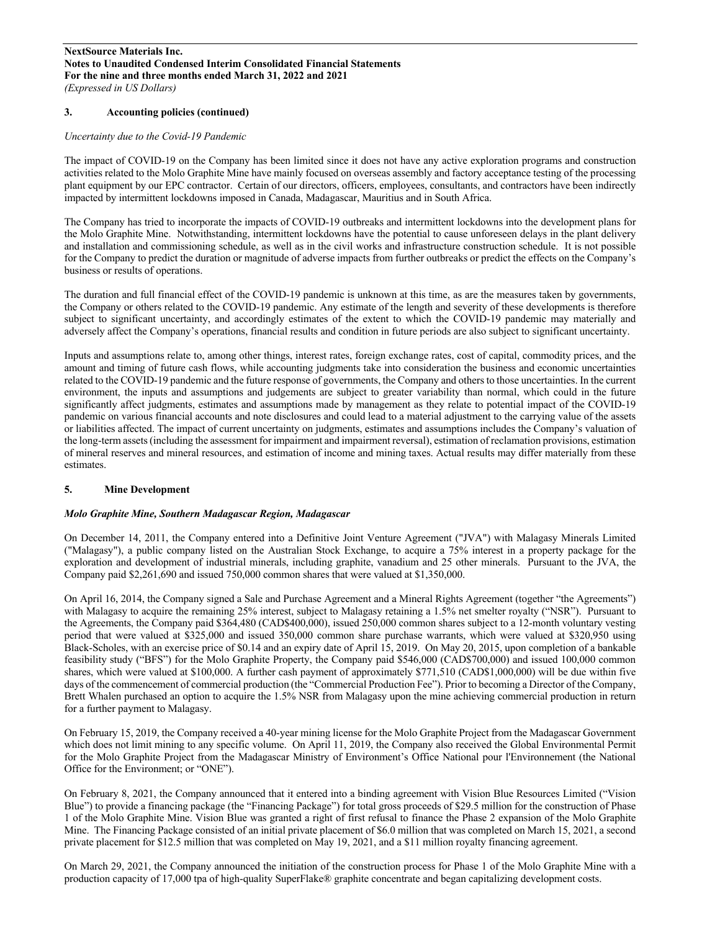## **3. Accounting policies (continued)**

## *Uncertainty due to the Covid-19 Pandemic*

The impact of COVID-19 on the Company has been limited since it does not have any active exploration programs and construction activities related to the Molo Graphite Mine have mainly focused on overseas assembly and factory acceptance testing of the processing plant equipment by our EPC contractor. Certain of our directors, officers, employees, consultants, and contractors have been indirectly impacted by intermittent lockdowns imposed in Canada, Madagascar, Mauritius and in South Africa.

The Company has tried to incorporate the impacts of COVID-19 outbreaks and intermittent lockdowns into the development plans for the Molo Graphite Mine. Notwithstanding, intermittent lockdowns have the potential to cause unforeseen delays in the plant delivery and installation and commissioning schedule, as well as in the civil works and infrastructure construction schedule. It is not possible for the Company to predict the duration or magnitude of adverse impacts from further outbreaks or predict the effects on the Company's business or results of operations.

The duration and full financial effect of the COVID-19 pandemic is unknown at this time, as are the measures taken by governments, the Company or others related to the COVID-19 pandemic. Any estimate of the length and severity of these developments is therefore subject to significant uncertainty, and accordingly estimates of the extent to which the COVID-19 pandemic may materially and adversely affect the Company's operations, financial results and condition in future periods are also subject to significant uncertainty.

Inputs and assumptions relate to, among other things, interest rates, foreign exchange rates, cost of capital, commodity prices, and the amount and timing of future cash flows, while accounting judgments take into consideration the business and economic uncertainties related to the COVID-19 pandemic and the future response of governments, the Company and othersto those uncertainties. In the current environment, the inputs and assumptions and judgements are subject to greater variability than normal, which could in the future significantly affect judgments, estimates and assumptions made by management as they relate to potential impact of the COVID-19 pandemic on various financial accounts and note disclosures and could lead to a material adjustment to the carrying value of the assets or liabilities affected. The impact of current uncertainty on judgments, estimates and assumptions includes the Company's valuation of the long-term assets (including the assessment for impairment and impairment reversal), estimation of reclamation provisions, estimation of mineral reserves and mineral resources, and estimation of income and mining taxes. Actual results may differ materially from these estimates.

## **5. Mine Development**

#### *Molo Graphite Mine, Southern Madagascar Region, Madagascar*

On December 14, 2011, the Company entered into a Definitive Joint Venture Agreement ("JVA") with Malagasy Minerals Limited ("Malagasy"), a public company listed on the Australian Stock Exchange, to acquire a 75% interest in a property package for the exploration and development of industrial minerals, including graphite, vanadium and 25 other minerals. Pursuant to the JVA, the Company paid \$2,261,690 and issued 750,000 common shares that were valued at \$1,350,000.

On April 16, 2014, the Company signed a Sale and Purchase Agreement and a Mineral Rights Agreement (together "the Agreements") with Malagasy to acquire the remaining 25% interest, subject to Malagasy retaining a 1.5% net smelter royalty ("NSR"). Pursuant to the Agreements, the Company paid \$364,480 (CAD\$400,000), issued 250,000 common shares subject to a 12-month voluntary vesting period that were valued at \$325,000 and issued 350,000 common share purchase warrants, which were valued at \$320,950 using Black-Scholes, with an exercise price of \$0.14 and an expiry date of April 15, 2019. On May 20, 2015, upon completion of a bankable feasibility study ("BFS") for the Molo Graphite Property, the Company paid \$546,000 (CAD\$700,000) and issued 100,000 common shares, which were valued at \$100,000. A further cash payment of approximately \$771,510 (CAD\$1,000,000) will be due within five days of the commencement of commercial production (the "Commercial Production Fee"). Prior to becoming a Director of the Company, Brett Whalen purchased an option to acquire the 1.5% NSR from Malagasy upon the mine achieving commercial production in return for a further payment to Malagasy.

On February 15, 2019, the Company received a 40-year mining license for the Molo Graphite Project from the Madagascar Government which does not limit mining to any specific volume. On April 11, 2019, the Company also received the Global Environmental Permit for the Molo Graphite Project from the Madagascar Ministry of Environment's Office National pour l'Environnement (the National Office for the Environment; or "ONE").

On February 8, 2021, the Company announced that it entered into a binding agreement with Vision Blue Resources Limited ("Vision Blue") to provide a financing package (the "Financing Package") for total gross proceeds of \$29.5 million for the construction of Phase 1 of the Molo Graphite Mine. Vision Blue was granted a right of first refusal to finance the Phase 2 expansion of the Molo Graphite Mine. The Financing Package consisted of an initial private placement of \$6.0 million that was completed on March 15, 2021, a second private placement for \$12.5 million that was completed on May 19, 2021, and a \$11 million royalty financing agreement.

On March 29, 2021, the Company announced the initiation of the construction process for Phase 1 of the Molo Graphite Mine with a production capacity of 17,000 tpa of high-quality SuperFlake® graphite concentrate and began capitalizing development costs.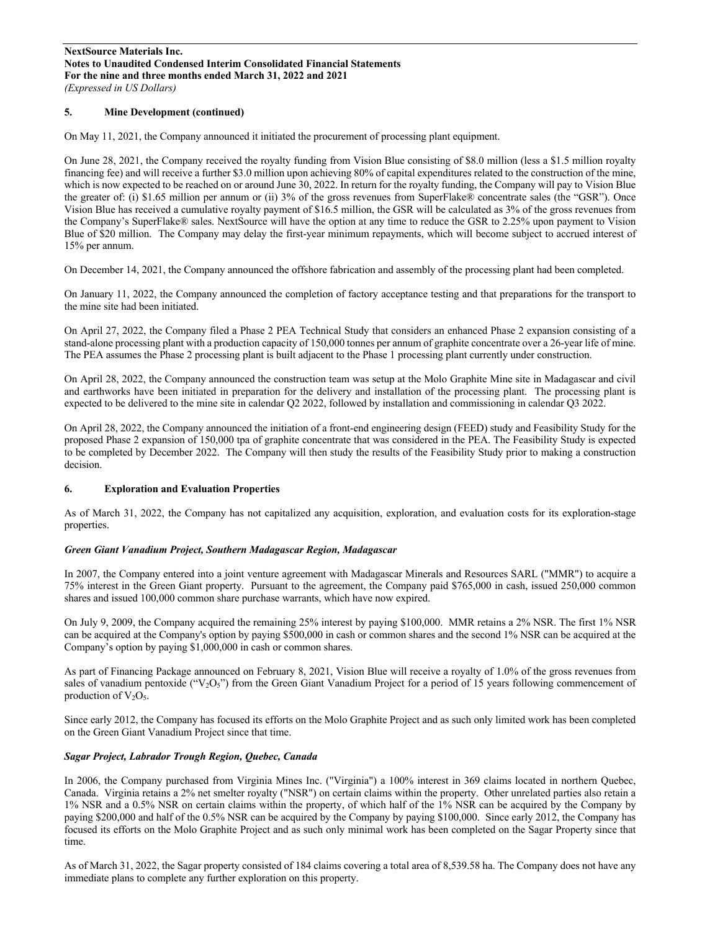# **5. Mine Development (continued)**

On May 11, 2021, the Company announced it initiated the procurement of processing plant equipment.

On June 28, 2021, the Company received the royalty funding from Vision Blue consisting of \$8.0 million (less a \$1.5 million royalty financing fee) and will receive a further \$3.0 million upon achieving 80% of capital expenditures related to the construction of the mine, which is now expected to be reached on or around June 30, 2022. In return for the royalty funding, the Company will pay to Vision Blue the greater of: (i) \$1.65 million per annum or (ii) 3% of the gross revenues from SuperFlake® concentrate sales (the "GSR"). Once Vision Blue has received a cumulative royalty payment of \$16.5 million, the GSR will be calculated as 3% of the gross revenues from the Company's SuperFlake® sales. NextSource will have the option at any time to reduce the GSR to 2.25% upon payment to Vision Blue of \$20 million. The Company may delay the first-year minimum repayments, which will become subject to accrued interest of 15% per annum.

On December 14, 2021, the Company announced the offshore fabrication and assembly of the processing plant had been completed.

On January 11, 2022, the Company announced the completion of factory acceptance testing and that preparations for the transport to the mine site had been initiated.

On April 27, 2022, the Company filed a Phase 2 PEA Technical Study that considers an enhanced Phase 2 expansion consisting of a stand-alone processing plant with a production capacity of 150,000 tonnes per annum of graphite concentrate over a 26-year life of mine. The PEA assumes the Phase 2 processing plant is built adjacent to the Phase 1 processing plant currently under construction.

On April 28, 2022, the Company announced the construction team was setup at the Molo Graphite Mine site in Madagascar and civil and earthworks have been initiated in preparation for the delivery and installation of the processing plant. The processing plant is expected to be delivered to the mine site in calendar Q2 2022, followed by installation and commissioning in calendar Q3 2022.

On April 28, 2022, the Company announced the initiation of a front-end engineering design (FEED) study and Feasibility Study for the proposed Phase 2 expansion of 150,000 tpa of graphite concentrate that was considered in the PEA. The Feasibility Study is expected to be completed by December 2022. The Company will then study the results of the Feasibility Study prior to making a construction decision.

## **6. Exploration and Evaluation Properties**

As of March 31, 2022, the Company has not capitalized any acquisition, exploration, and evaluation costs for its exploration-stage properties.

## *Green Giant Vanadium Project, Southern Madagascar Region, Madagascar*

In 2007, the Company entered into a joint venture agreement with Madagascar Minerals and Resources SARL ("MMR") to acquire a 75% interest in the Green Giant property. Pursuant to the agreement, the Company paid \$765,000 in cash, issued 250,000 common shares and issued 100,000 common share purchase warrants, which have now expired.

On July 9, 2009, the Company acquired the remaining 25% interest by paying \$100,000. MMR retains a 2% NSR. The first 1% NSR can be acquired at the Company's option by paying \$500,000 in cash or common shares and the second 1% NSR can be acquired at the Company's option by paying \$1,000,000 in cash or common shares.

As part of Financing Package announced on February 8, 2021, Vision Blue will receive a royalty of 1.0% of the gross revenues from sales of vanadium pentoxide (" $V_2O_5$ ") from the Green Giant Vanadium Project for a period of 15 years following commencement of production of  $V_2O_5$ .

Since early 2012, the Company has focused its efforts on the Molo Graphite Project and as such only limited work has been completed on the Green Giant Vanadium Project since that time.

## *Sagar Project, Labrador Trough Region, Quebec, Canada*

In 2006, the Company purchased from Virginia Mines Inc. ("Virginia") a 100% interest in 369 claims located in northern Quebec, Canada. Virginia retains a 2% net smelter royalty ("NSR") on certain claims within the property. Other unrelated parties also retain a 1% NSR and a 0.5% NSR on certain claims within the property, of which half of the 1% NSR can be acquired by the Company by paying \$200,000 and half of the 0.5% NSR can be acquired by the Company by paying \$100,000. Since early 2012, the Company has focused its efforts on the Molo Graphite Project and as such only minimal work has been completed on the Sagar Property since that time.

As of March 31, 2022, the Sagar property consisted of 184 claims covering a total area of 8,539.58 ha. The Company does not have any immediate plans to complete any further exploration on this property.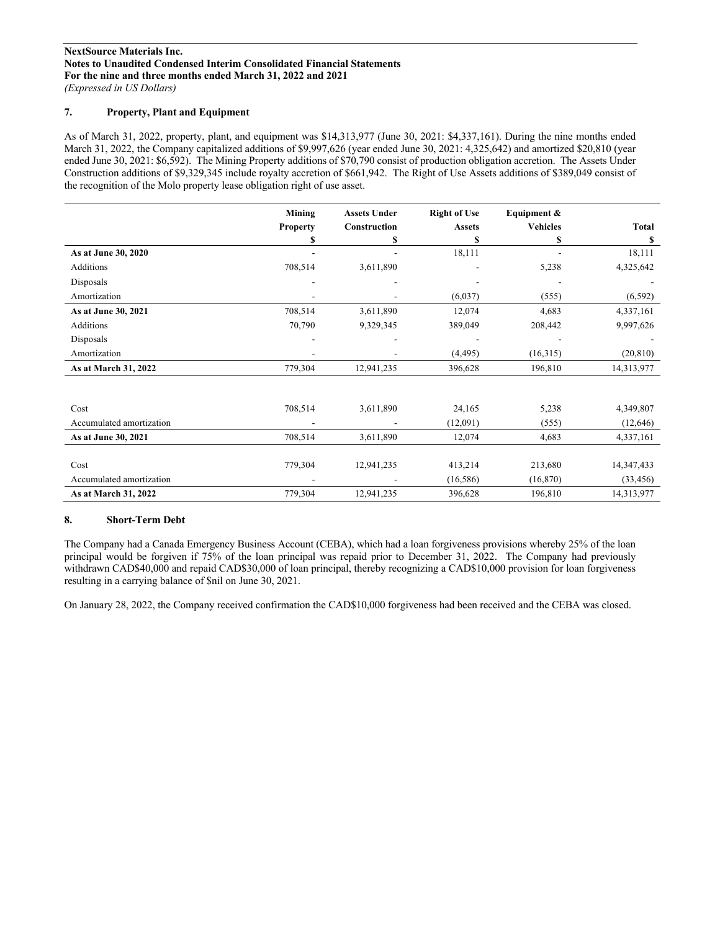## **7. Property, Plant and Equipment**

As of March 31, 2022, property, plant, and equipment was \$14,313,977 (June 30, 2021: \$4,337,161). During the nine months ended March 31, 2022, the Company capitalized additions of \$9,997,626 (year ended June 30, 2021: 4,325,642) and amortized \$20,810 (year ended June 30, 2021: \$6,592). The Mining Property additions of \$70,790 consist of production obligation accretion. The Assets Under Construction additions of \$9,329,345 include royalty accretion of \$661,942. The Right of Use Assets additions of \$389,049 consist of the recognition of the Molo property lease obligation right of use asset.

|                          | Mining          | <b>Assets Under</b> | <b>Right of Use</b> | Equipment &     |            |
|--------------------------|-----------------|---------------------|---------------------|-----------------|------------|
|                          | <b>Property</b> | Construction        | <b>Assets</b>       | <b>Vehicles</b> | Total      |
|                          | S               | \$                  | \$                  | \$              | S          |
| As at June 30, 2020      |                 |                     | 18,111              |                 | 18,111     |
| Additions                | 708,514         | 3,611,890           |                     | 5,238           | 4,325,642  |
| Disposals                |                 |                     |                     |                 |            |
| Amortization             |                 |                     | (6,037)             | (555)           | (6, 592)   |
| As at June 30, 2021      | 708,514         | 3,611,890           | 12,074              | 4,683           | 4,337,161  |
| Additions                | 70,790          | 9,329,345           | 389,049             | 208,442         | 9,997,626  |
| Disposals                |                 |                     |                     |                 |            |
| Amortization             |                 |                     | (4, 495)            | (16,315)        | (20, 810)  |
| As at March 31, 2022     | 779,304         | 12,941,235          | 396,628             | 196,810         | 14,313,977 |
|                          |                 |                     |                     |                 |            |
| Cost                     | 708,514         | 3,611,890           | 24,165              | 5,238           | 4,349,807  |
|                          |                 |                     |                     |                 |            |
| Accumulated amortization |                 |                     | (12,091)            | (555)           | (12, 646)  |
| As at June 30, 2021      | 708,514         | 3,611,890           | 12,074              | 4,683           | 4,337,161  |
|                          |                 |                     |                     |                 |            |
| Cost                     | 779,304         | 12,941,235          | 413,214             | 213,680         | 14,347,433 |
| Accumulated amortization |                 |                     | (16, 586)           | (16, 870)       | (33, 456)  |
| As at March 31, 2022     | 779,304         | 12,941,235          | 396,628             | 196,810         | 14,313,977 |

## **8. Short-Term Debt**

The Company had a Canada Emergency Business Account (CEBA), which had a loan forgiveness provisions whereby 25% of the loan principal would be forgiven if 75% of the loan principal was repaid prior to December 31, 2022. The Company had previously withdrawn CAD\$40,000 and repaid CAD\$30,000 of loan principal, thereby recognizing a CAD\$10,000 provision for loan forgiveness resulting in a carrying balance of \$nil on June 30, 2021.

On January 28, 2022, the Company received confirmation the CAD\$10,000 forgiveness had been received and the CEBA was closed.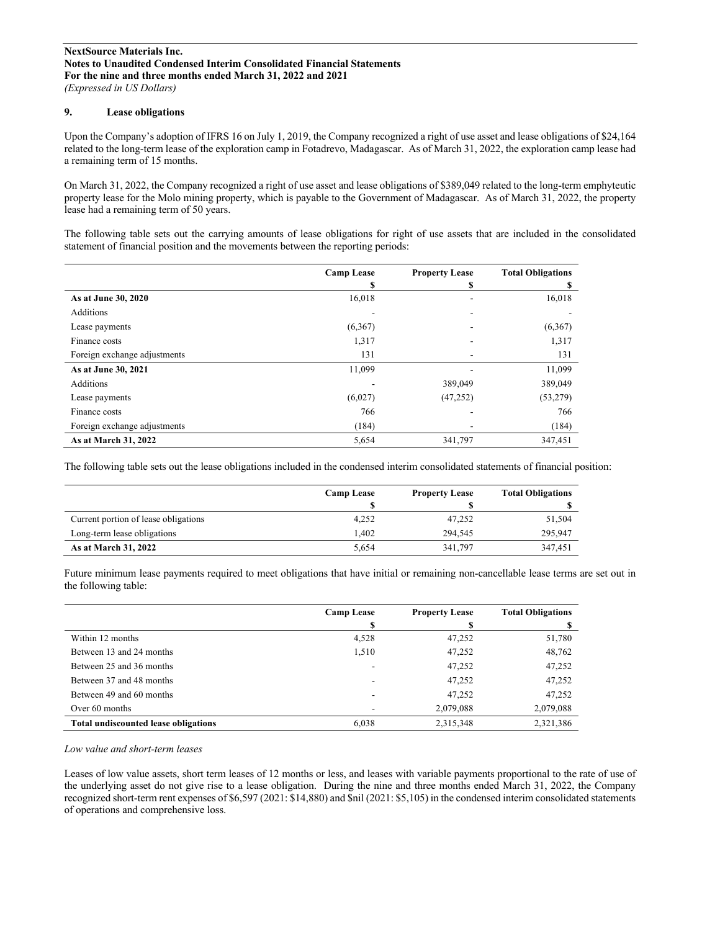## **9. Lease obligations**

Upon the Company's adoption of IFRS 16 on July 1, 2019, the Company recognized a right of use asset and lease obligations of \$24,164 related to the long-term lease of the exploration camp in Fotadrevo, Madagascar. As of March 31, 2022, the exploration camp lease had a remaining term of 15 months.

On March 31, 2022, the Company recognized a right of use asset and lease obligations of \$389,049 related to the long-term emphyteutic property lease for the Molo mining property, which is payable to the Government of Madagascar. As of March 31, 2022, the property lease had a remaining term of 50 years.

The following table sets out the carrying amounts of lease obligations for right of use assets that are included in the consolidated statement of financial position and the movements between the reporting periods:

|                              | <b>Camp Lease</b> | <b>Property Lease</b> | <b>Total Obligations</b> |
|------------------------------|-------------------|-----------------------|--------------------------|
|                              | \$                | S                     | S                        |
| As at June 30, 2020          | 16,018            |                       | 16,018                   |
| Additions                    |                   |                       |                          |
| Lease payments               | (6,367)           |                       | (6,367)                  |
| Finance costs                | 1,317             |                       | 1,317                    |
| Foreign exchange adjustments | 131               |                       | 131                      |
| As at June 30, 2021          | 11,099            |                       | 11,099                   |
| Additions                    |                   | 389,049               | 389,049                  |
| Lease payments               | (6,027)           | (47, 252)             | (53, 279)                |
| Finance costs                | 766               |                       | 766                      |
| Foreign exchange adjustments | (184)             |                       | (184)                    |
| As at March 31, 2022         | 5,654             | 341,797               | 347,451                  |

The following table sets out the lease obligations included in the condensed interim consolidated statements of financial position:

|                                      | Camp Lease | <b>Property Lease</b> | <b>Total Obligations</b> |
|--------------------------------------|------------|-----------------------|--------------------------|
|                                      |            |                       |                          |
| Current portion of lease obligations | 4,252      | 47,252                | 51,504                   |
| Long-term lease obligations          | .402       | 294,545               | 295,947                  |
| As at March 31, 2022                 | 5.654      | 341,797               | 347,451                  |

Future minimum lease payments required to meet obligations that have initial or remaining non-cancellable lease terms are set out in the following table:

|                                             | <b>Camp Lease</b> | <b>Property Lease</b> | <b>Total Obligations</b> |
|---------------------------------------------|-------------------|-----------------------|--------------------------|
|                                             | S                 |                       |                          |
| Within 12 months                            | 4,528             | 47,252                | 51,780                   |
| Between 13 and 24 months                    | 1,510             | 47,252                | 48,762                   |
| Between 25 and 36 months                    |                   | 47,252                | 47,252                   |
| Between 37 and 48 months                    |                   | 47,252                | 47,252                   |
| Between 49 and 60 months                    |                   | 47.252                | 47,252                   |
| Over 60 months                              |                   | 2,079,088             | 2,079,088                |
| <b>Total undiscounted lease obligations</b> | 6,038             | 2,315,348             | 2,321,386                |

*Low value and short-term leases*

Leases of low value assets, short term leases of 12 months or less, and leases with variable payments proportional to the rate of use of the underlying asset do not give rise to a lease obligation. During the nine and three months ended March 31, 2022, the Company recognized short-term rent expenses of \$6,597 (2021: \$14,880) and \$nil (2021: \$5,105) in the condensed interim consolidated statements of operations and comprehensive loss.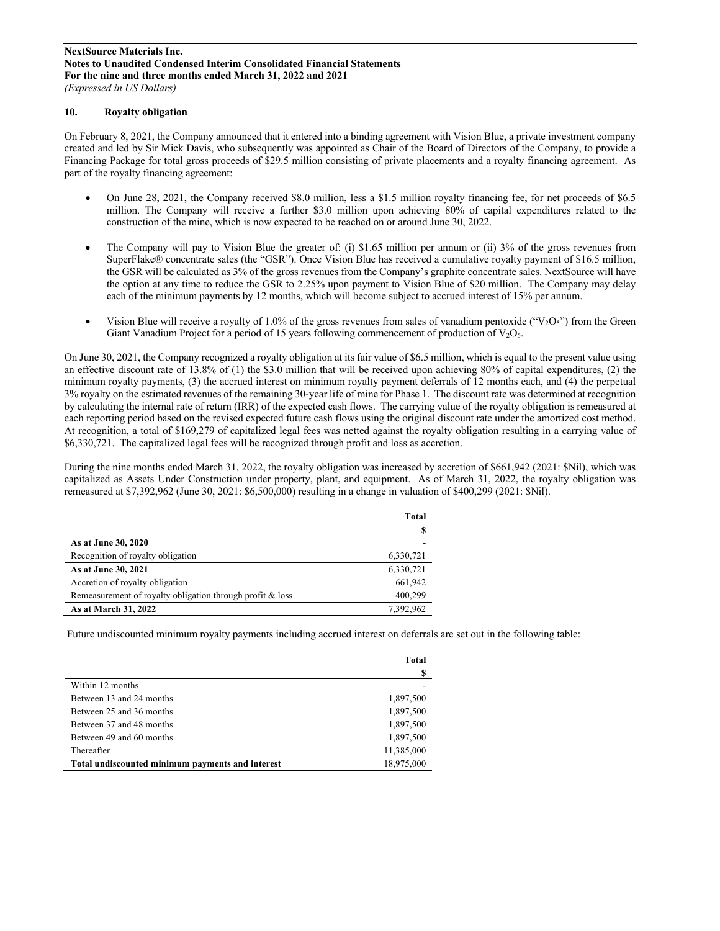## **10. Royalty obligation**

On February 8, 2021, the Company announced that it entered into a binding agreement with Vision Blue, a private investment company created and led by Sir Mick Davis, who subsequently was appointed as Chair of the Board of Directors of the Company, to provide a Financing Package for total gross proceeds of \$29.5 million consisting of private placements and a royalty financing agreement. As part of the royalty financing agreement:

- On June 28, 2021, the Company received \$8.0 million, less a \$1.5 million royalty financing fee, for net proceeds of \$6.5 million. The Company will receive a further \$3.0 million upon achieving 80% of capital expenditures related to the construction of the mine, which is now expected to be reached on or around June 30, 2022.
- The Company will pay to Vision Blue the greater of: (i) \$1.65 million per annum or (ii) 3% of the gross revenues from SuperFlake® concentrate sales (the "GSR"). Once Vision Blue has received a cumulative royalty payment of \$16.5 million, the GSR will be calculated as 3% of the gross revenues from the Company's graphite concentrate sales. NextSource will have the option at any time to reduce the GSR to 2.25% upon payment to Vision Blue of \$20 million. The Company may delay each of the minimum payments by 12 months, which will become subject to accrued interest of 15% per annum.
- Vision Blue will receive a royalty of 1.0% of the gross revenues from sales of vanadium pentoxide (" $V_2O_5$ ") from the Green Giant Vanadium Project for a period of 15 years following commencement of production of  $V_2O_5$ .

On June 30, 2021, the Company recognized a royalty obligation at its fair value of \$6.5 million, which is equal to the present value using an effective discount rate of 13.8% of (1) the \$3.0 million that will be received upon achieving 80% of capital expenditures, (2) the minimum royalty payments, (3) the accrued interest on minimum royalty payment deferrals of 12 months each, and (4) the perpetual 3% royalty on the estimated revenues of the remaining 30-year life of mine for Phase 1. The discount rate was determined at recognition by calculating the internal rate of return (IRR) of the expected cash flows. The carrying value of the royalty obligation is remeasured at each reporting period based on the revised expected future cash flows using the original discount rate under the amortized cost method. At recognition, a total of \$169,279 of capitalized legal fees was netted against the royalty obligation resulting in a carrying value of \$6,330,721. The capitalized legal fees will be recognized through profit and loss as accretion.

During the nine months ended March 31, 2022, the royalty obligation was increased by accretion of \$661,942 (2021: \$Nil), which was capitalized as Assets Under Construction under property, plant, and equipment. As of March 31, 2022, the royalty obligation was remeasured at \$7,392,962 (June 30, 2021: \$6,500,000) resulting in a change in valuation of \$400,299 (2021: \$Nil).

|                                                           | Total     |
|-----------------------------------------------------------|-----------|
|                                                           |           |
| As at June 30, 2020                                       |           |
| Recognition of royalty obligation                         | 6,330,721 |
| As at June 30, 2021                                       | 6,330,721 |
| Accretion of royalty obligation                           | 661,942   |
| Remeasurement of royalty obligation through profit & loss | 400,299   |
| As at March 31, 2022                                      | 7.392.962 |

Future undiscounted minimum royalty payments including accrued interest on deferrals are set out in the following table:

|                                                  | Total      |
|--------------------------------------------------|------------|
|                                                  | S          |
| Within 12 months                                 |            |
| Between 13 and 24 months                         | 1,897,500  |
| Between 25 and 36 months                         | 1,897,500  |
| Between 37 and 48 months                         | 1,897,500  |
| Between 49 and 60 months                         | 1,897,500  |
| Thereafter                                       | 11,385,000 |
| Total undiscounted minimum payments and interest | 18,975,000 |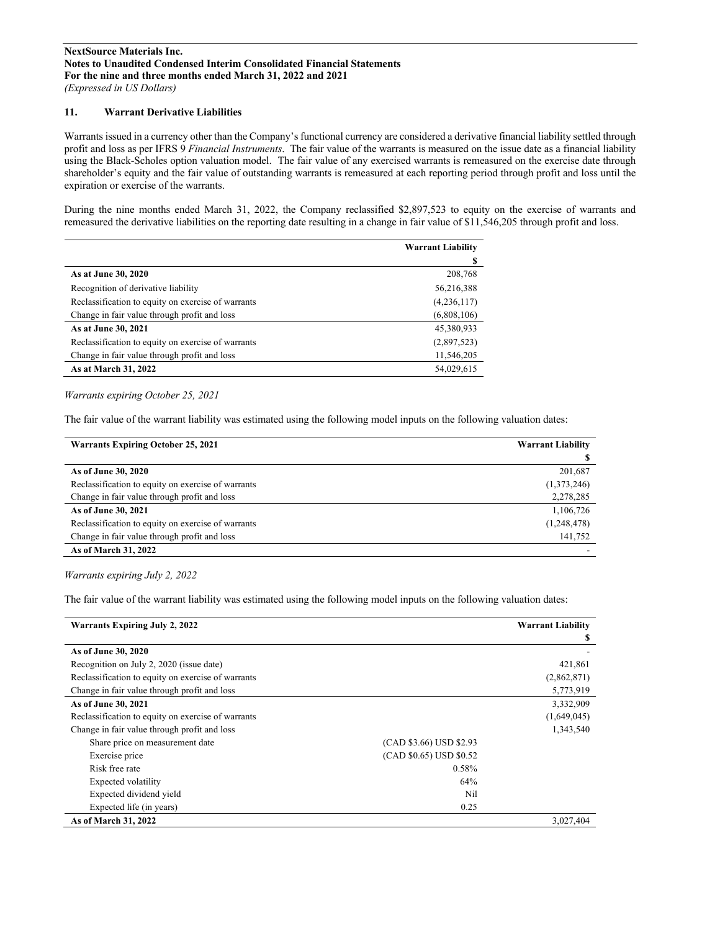## **11. Warrant Derivative Liabilities**

Warrants issued in a currency other than the Company's functional currency are considered a derivative financial liability settled through profit and loss as per IFRS 9 *Financial Instruments*. The fair value of the warrants is measured on the issue date as a financial liability using the Black-Scholes option valuation model. The fair value of any exercised warrants is remeasured on the exercise date through shareholder's equity and the fair value of outstanding warrants is remeasured at each reporting period through profit and loss until the expiration or exercise of the warrants.

During the nine months ended March 31, 2022, the Company reclassified \$2,897,523 to equity on the exercise of warrants and remeasured the derivative liabilities on the reporting date resulting in a change in fair value of \$11,546,205 through profit and loss.

|                                                    | <b>Warrant Liability</b> |
|----------------------------------------------------|--------------------------|
|                                                    | S                        |
| As at June 30, 2020                                | 208,768                  |
| Recognition of derivative liability                | 56,216,388               |
| Reclassification to equity on exercise of warrants | (4,236,117)              |
| Change in fair value through profit and loss       | (6,808,106)              |
| As at June 30, 2021                                | 45,380,933               |
| Reclassification to equity on exercise of warrants | (2,897,523)              |
| Change in fair value through profit and loss       | 11,546,205               |
| As at March 31, 2022                               | 54,029,615               |

## *Warrants expiring October 25, 2021*

The fair value of the warrant liability was estimated using the following model inputs on the following valuation dates:

| <b>Warrants Expiring October 25, 2021</b>          | <b>Warrant Liability</b> |
|----------------------------------------------------|--------------------------|
|                                                    |                          |
| As of June 30, 2020                                | 201,687                  |
| Reclassification to equity on exercise of warrants | (1,373,246)              |
| Change in fair value through profit and loss       | 2,278,285                |
| As of June 30, 2021                                | 1,106,726                |
| Reclassification to equity on exercise of warrants | (1,248,478)              |
| Change in fair value through profit and loss       | 141,752                  |
| As of March 31, 2022                               |                          |

#### *Warrants expiring July 2, 2022*

The fair value of the warrant liability was estimated using the following model inputs on the following valuation dates:

| <b>Warrants Expiring July 2, 2022</b>              |                         | <b>Warrant Liability</b> |
|----------------------------------------------------|-------------------------|--------------------------|
|                                                    |                         | S                        |
| As of June 30, 2020                                |                         |                          |
| Recognition on July 2, 2020 (issue date)           |                         | 421,861                  |
| Reclassification to equity on exercise of warrants |                         | (2,862,871)              |
| Change in fair value through profit and loss       |                         | 5,773,919                |
| As of June 30, 2021                                |                         | 3,332,909                |
| Reclassification to equity on exercise of warrants |                         | (1,649,045)              |
| Change in fair value through profit and loss       |                         | 1,343,540                |
| Share price on measurement date                    | (CAD \$3.66) USD \$2.93 |                          |
| Exercise price                                     | (CAD \$0.65) USD \$0.52 |                          |
| Risk free rate                                     | 0.58%                   |                          |
| Expected volatility                                | 64%                     |                          |
| Expected dividend yield                            | Nil                     |                          |
| Expected life (in years)                           | 0.25                    |                          |
| As of March 31, 2022                               |                         | 3,027,404                |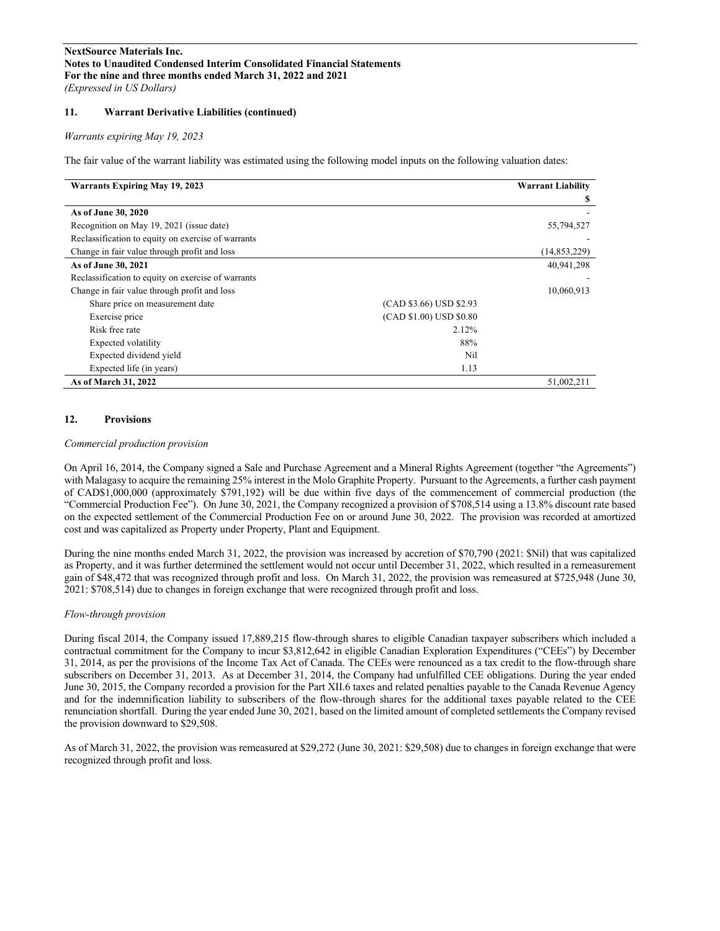## **11. Warrant Derivative Liabilities (continued)**

#### *Warrants expiring May 19, 2023*

The fair value of the warrant liability was estimated using the following model inputs on the following valuation dates:

| <b>Warrants Expiring May 19, 2023</b>              |                         | <b>Warrant Liability</b> |
|----------------------------------------------------|-------------------------|--------------------------|
|                                                    |                         | S                        |
| As of June 30, 2020                                |                         |                          |
| Recognition on May 19, 2021 (issue date)           |                         | 55,794,527               |
| Reclassification to equity on exercise of warrants |                         |                          |
| Change in fair value through profit and loss       |                         | (14, 853, 229)           |
| As of June 30, 2021                                |                         | 40,941,298               |
| Reclassification to equity on exercise of warrants |                         |                          |
| Change in fair value through profit and loss       |                         | 10,060,913               |
| Share price on measurement date                    | (CAD \$3.66) USD \$2.93 |                          |
| Exercise price                                     | (CAD \$1.00) USD \$0.80 |                          |
| Risk free rate                                     | 2.12%                   |                          |
| Expected volatility                                | 88%                     |                          |
| Expected dividend yield                            | Nil                     |                          |
| Expected life (in years)                           | 1.13                    |                          |
| As of March 31, 2022                               |                         | 51,002,211               |

#### **12. Provisions**

#### *Commercial production provision*

On April 16, 2014, the Company signed a Sale and Purchase Agreement and a Mineral Rights Agreement (together "the Agreements") with Malagasy to acquire the remaining 25% interest in the Molo Graphite Property. Pursuant to the Agreements, a further cash payment of CAD\$1,000,000 (approximately \$791,192) will be due within five days of the commencement of commercial production (the "Commercial Production Fee"). On June 30, 2021, the Company recognized a provision of \$708,514 using a 13.8% discount rate based on the expected settlement of the Commercial Production Fee on or around June 30, 2022. The provision was recorded at amortized cost and was capitalized as Property under Property, Plant and Equipment.

During the nine months ended March 31, 2022, the provision was increased by accretion of \$70,790 (2021: \$Nil) that was capitalized as Property, and it was further determined the settlement would not occur until December 31, 2022, which resulted in a remeasurement gain of \$48,472 that was recognized through profit and loss. On March 31, 2022, the provision was remeasured at \$725,948 (June 30, 2021: \$708,514) due to changes in foreign exchange that were recognized through profit and loss.

#### *Flow-through provision*

During fiscal 2014, the Company issued 17,889,215 flow-through shares to eligible Canadian taxpayer subscribers which included a contractual commitment for the Company to incur \$3,812,642 in eligible Canadian Exploration Expenditures ("CEEs") by December 31, 2014, as per the provisions of the Income Tax Act of Canada. The CEEs were renounced as a tax credit to the flow-through share subscribers on December 31, 2013. As at December 31, 2014, the Company had unfulfilled CEE obligations. During the year ended June 30, 2015, the Company recorded a provision for the Part XII.6 taxes and related penalties payable to the Canada Revenue Agency and for the indemnification liability to subscribers of the flow-through shares for the additional taxes payable related to the CEE renunciation shortfall. During the year ended June 30, 2021, based on the limited amount of completed settlements the Company revised the provision downward to \$29,508.

As of March 31, 2022, the provision was remeasured at \$29,272 (June 30, 2021: \$29,508) due to changes in foreign exchange that were recognized through profit and loss.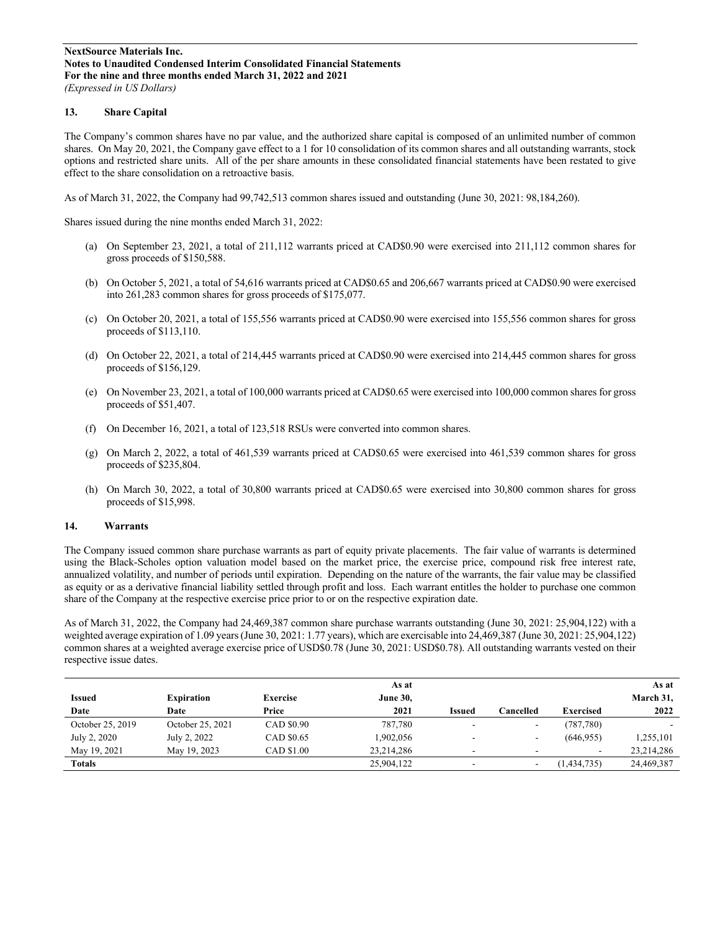## **13. Share Capital**

The Company's common shares have no par value, and the authorized share capital is composed of an unlimited number of common shares. On May 20, 2021, the Company gave effect to a 1 for 10 consolidation of its common shares and all outstanding warrants, stock options and restricted share units. All of the per share amounts in these consolidated financial statements have been restated to give effect to the share consolidation on a retroactive basis.

As of March 31, 2022, the Company had 99,742,513 common shares issued and outstanding (June 30, 2021: 98,184,260).

Shares issued during the nine months ended March 31, 2022:

- (a) On September 23, 2021, a total of 211,112 warrants priced at CAD\$0.90 were exercised into 211,112 common shares for gross proceeds of \$150,588.
- (b) On October 5, 2021, a total of 54,616 warrants priced at CAD\$0.65 and 206,667 warrants priced at CAD\$0.90 were exercised into 261,283 common shares for gross proceeds of \$175,077.
- (c) On October 20, 2021, a total of 155,556 warrants priced at CAD\$0.90 were exercised into 155,556 common shares for gross proceeds of \$113,110.
- (d) On October 22, 2021, a total of 214,445 warrants priced at CAD\$0.90 were exercised into 214,445 common shares for gross proceeds of \$156,129.
- (e) On November 23, 2021, a total of 100,000 warrants priced at CAD\$0.65 were exercised into 100,000 common shares for gross proceeds of \$51,407.
- (f) On December 16, 2021, a total of 123,518 RSUs were converted into common shares.
- (g) On March 2, 2022, a total of 461,539 warrants priced at CAD\$0.65 were exercised into 461,539 common shares for gross proceeds of \$235,804.
- (h) On March 30, 2022, a total of 30,800 warrants priced at CAD\$0.65 were exercised into 30,800 common shares for gross proceeds of \$15,998.

#### **14. Warrants**

The Company issued common share purchase warrants as part of equity private placements. The fair value of warrants is determined using the Black-Scholes option valuation model based on the market price, the exercise price, compound risk free interest rate, annualized volatility, and number of periods until expiration. Depending on the nature of the warrants, the fair value may be classified as equity or as a derivative financial liability settled through profit and loss. Each warrant entitles the holder to purchase one common share of the Company at the respective exercise price prior to or on the respective expiration date.

As of March 31, 2022, the Company had 24,469,387 common share purchase warrants outstanding (June 30, 2021: 25,904,122) with a weighted average expiration of 1.09 years(June 30, 2021: 1.77 years), which are exercisable into 24,469,387 (June 30, 2021: 25,904,122) common shares at a weighted average exercise price of USD\$0.78 (June 30, 2021: USD\$0.78). All outstanding warrants vested on their respective issue dates.

|                  |                   |                 | As at           |               |                          |                          | As at      |
|------------------|-------------------|-----------------|-----------------|---------------|--------------------------|--------------------------|------------|
| <b>Issued</b>    | <b>Expiration</b> | <b>Exercise</b> | <b>June 30,</b> |               |                          |                          | March 31,  |
| Date             | Date              | Price           | 2021            | <b>Issued</b> | Cancelled                | Exercised                | 2022       |
| October 25, 2019 | October 25, 2021  | CAD \$0.90      | 787,780         |               | $\overline{\phantom{a}}$ | (787, 780)               |            |
| July 2, 2020     | July 2, 2022      | CAD \$0.65      | 1,902,056       |               | $\overline{\phantom{a}}$ | (646, 955)               | 1,255,101  |
| May 19, 2021     | May 19, 2023      | CAD \$1.00      | 23,214,286      | ۰.            |                          | $\overline{\phantom{a}}$ | 23,214,286 |
| <b>Totals</b>    |                   |                 | 25,904,122      |               | $\overline{\phantom{a}}$ | (1, 434, 735)            | 24,469,387 |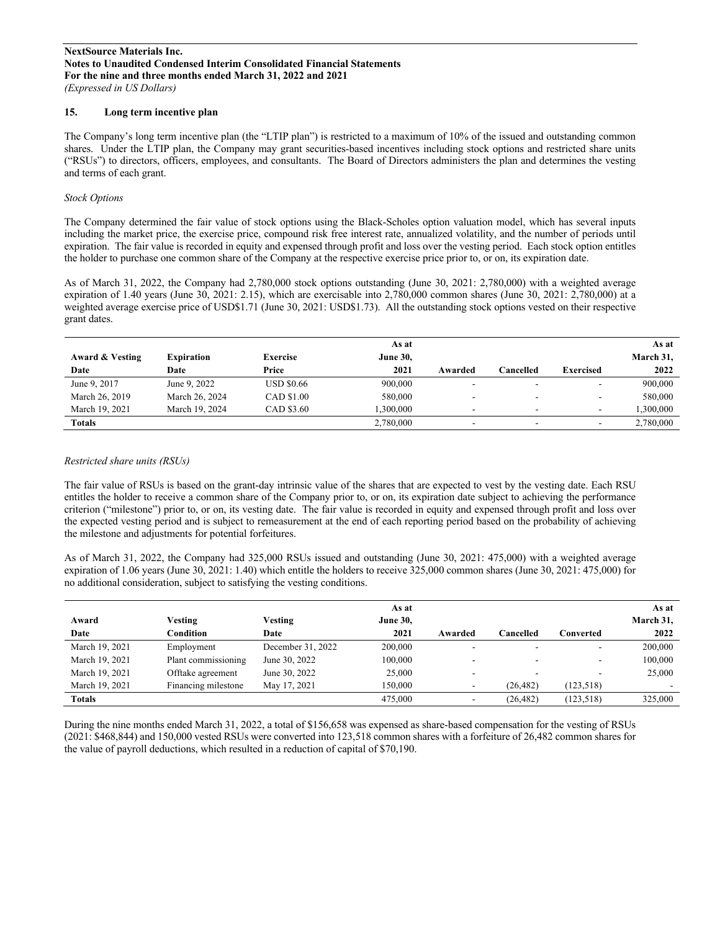## **15. Long term incentive plan**

The Company's long term incentive plan (the "LTIP plan") is restricted to a maximum of 10% of the issued and outstanding common shares. Under the LTIP plan, the Company may grant securities-based incentives including stock options and restricted share units ("RSUs") to directors, officers, employees, and consultants. The Board of Directors administers the plan and determines the vesting and terms of each grant.

#### *Stock Options*

The Company determined the fair value of stock options using the Black-Scholes option valuation model, which has several inputs including the market price, the exercise price, compound risk free interest rate, annualized volatility, and the number of periods until expiration. The fair value is recorded in equity and expensed through profit and loss over the vesting period. Each stock option entitles the holder to purchase one common share of the Company at the respective exercise price prior to, or on, its expiration date.

As of March 31, 2022, the Company had 2,780,000 stock options outstanding (June 30, 2021: 2,780,000) with a weighted average expiration of 1.40 years (June 30, 2021: 2.15), which are exercisable into 2,780,000 common shares (June 30, 2021: 2,780,000) at a weighted average exercise price of USD\$1.71 (June 30, 2021: USD\$1.73). All the outstanding stock options vested on their respective grant dates.

|                 |                   |                   | As at           |                          |                          |                          | As at     |
|-----------------|-------------------|-------------------|-----------------|--------------------------|--------------------------|--------------------------|-----------|
| Award & Vesting | <b>Expiration</b> | <b>Exercise</b>   | <b>June 30,</b> |                          |                          |                          | March 31, |
| Date            | Date              | Price             | 2021            | Awarded                  | Cancelled                | <b>Exercised</b>         | 2022      |
| June 9, 2017    | June 9, 2022      | <b>USD \$0.66</b> | 900,000         | $\overline{\phantom{a}}$ | $\overline{\phantom{a}}$ | $\overline{\phantom{a}}$ | 900,000   |
| March 26, 2019  | March 26, 2024    | CAD \$1.00        | 580,000         | $\overline{\phantom{a}}$ | $\overline{\phantom{a}}$ |                          | 580,000   |
| March 19, 2021  | March 19, 2024    | CAD \$3.60        | .300,000        | -                        | ۰                        |                          | 1,300,000 |
| <b>Totals</b>   |                   |                   | 2,780,000       | -                        |                          |                          | 2,780,000 |

#### *Restricted share units (RSUs)*

The fair value of RSUs is based on the grant-day intrinsic value of the shares that are expected to vest by the vesting date. Each RSU entitles the holder to receive a common share of the Company prior to, or on, its expiration date subject to achieving the performance criterion ("milestone") prior to, or on, its vesting date. The fair value is recorded in equity and expensed through profit and loss over the expected vesting period and is subject to remeasurement at the end of each reporting period based on the probability of achieving the milestone and adjustments for potential forfeitures.

As of March 31, 2022, the Company had 325,000 RSUs issued and outstanding (June 30, 2021: 475,000) with a weighted average expiration of 1.06 years (June 30, 2021: 1.40) which entitle the holders to receive 325,000 common shares (June 30, 2021: 475,000) for no additional consideration, subject to satisfying the vesting conditions.

| Award<br>Date  | Vesting<br>Condition | Vesting<br>Date   | As at<br><b>June 30,</b><br>2021 | Awarded | Cancelled | Converted  | As at<br>March 31,<br>2022 |
|----------------|----------------------|-------------------|----------------------------------|---------|-----------|------------|----------------------------|
| March 19, 2021 | Employment           | December 31, 2022 | 200,000                          |         | ۰         | -          | 200,000                    |
| March 19, 2021 | Plant commissioning  | June 30, 2022     | 100,000                          |         |           |            | 100,000                    |
| March 19, 2021 | Offtake agreement    | June 30, 2022     | 25,000                           |         |           | -          | 25,000                     |
| March 19, 2021 | Financing milestone  | May 17, 2021      | 150.000                          |         | (26.482)  | (123, 518) |                            |
| <b>Totals</b>  |                      |                   | 475,000                          |         | (26, 482) | (123, 518) | 325,000                    |

During the nine months ended March 31, 2022, a total of \$156,658 was expensed as share-based compensation for the vesting of RSUs (2021: \$468,844) and 150,000 vested RSUs were converted into 123,518 common shares with a forfeiture of 26,482 common shares for the value of payroll deductions, which resulted in a reduction of capital of \$70,190.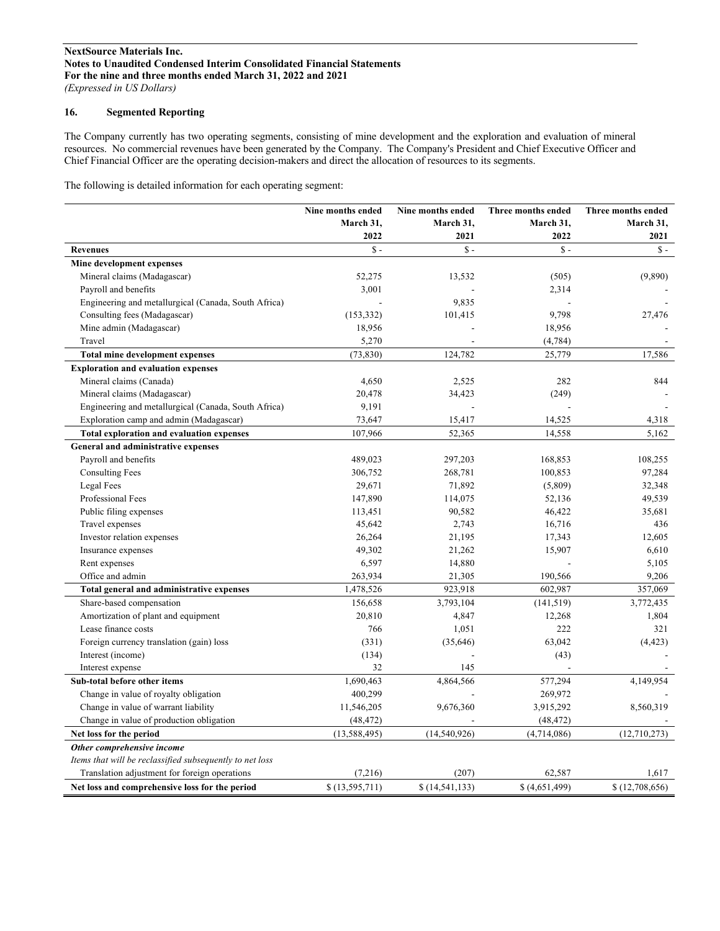## **16. Segmented Reporting**

The Company currently has two operating segments, consisting of mine development and the exploration and evaluation of mineral resources. No commercial revenues have been generated by the Company. The Company's President and Chief Executive Officer and Chief Financial Officer are the operating decision-makers and direct the allocation of resources to its segments.

The following is detailed information for each operating segment:

|                                                          | <b>Nine months ended</b> | Nine months ended | Three months ended | Three months ended |
|----------------------------------------------------------|--------------------------|-------------------|--------------------|--------------------|
|                                                          | March 31,                | March 31,         | March 31,          | March 31,          |
|                                                          | 2022                     | 2021              | 2022               | 2021               |
| <b>Revenues</b>                                          | $\hat{\mathbf{s}}$ -     | $S -$             | $S -$              | $S -$              |
| Mine development expenses                                |                          |                   |                    |                    |
| Mineral claims (Madagascar)                              | 52,275                   | 13,532            | (505)              | (9,890)            |
| Payroll and benefits                                     | 3,001                    |                   | 2,314              |                    |
| Engineering and metallurgical (Canada, South Africa)     |                          | 9,835             |                    |                    |
| Consulting fees (Madagascar)                             | (153, 332)               | 101,415           | 9,798              | 27,476             |
| Mine admin (Madagascar)                                  | 18,956                   |                   | 18,956             |                    |
| Travel                                                   | 5,270                    |                   | (4, 784)           |                    |
| Total mine development expenses                          | (73, 830)                | 124,782           | 25,779             | 17,586             |
| <b>Exploration and evaluation expenses</b>               |                          |                   |                    |                    |
| Mineral claims (Canada)                                  | 4,650                    | 2,525             | 282                | 844                |
| Mineral claims (Madagascar)                              | 20,478                   | 34,423            | (249)              |                    |
| Engineering and metallurgical (Canada, South Africa)     | 9,191                    |                   |                    |                    |
| Exploration camp and admin (Madagascar)                  | 73,647                   | 15,417            | 14,525             | 4,318              |
| Total exploration and evaluation expenses                | 107,966                  | 52,365            | 14,558             | 5,162              |
| <b>General and administrative expenses</b>               |                          |                   |                    |                    |
| Payroll and benefits                                     | 489,023                  | 297,203           | 168,853            | 108,255            |
| <b>Consulting Fees</b>                                   | 306,752                  | 268,781           | 100,853            | 97,284             |
| Legal Fees                                               | 29,671                   | 71,892            | (5,809)            | 32,348             |
| Professional Fees                                        | 147,890                  | 114,075           | 52,136             | 49,539             |
| Public filing expenses                                   | 113,451                  | 90,582            | 46,422             | 35,681             |
| Travel expenses                                          | 45,642                   | 2,743             | 16,716             | 436                |
| Investor relation expenses                               | 26,264                   | 21,195            | 17,343             | 12,605             |
| Insurance expenses                                       | 49,302                   | 21,262            | 15,907             | 6,610              |
| Rent expenses                                            | 6,597                    | 14,880            |                    | 5,105              |
| Office and admin                                         | 263,934                  | 21,305            | 190,566            | 9,206              |
| Total general and administrative expenses                | 1,478,526                | 923,918           | 602,987            | 357,069            |
| Share-based compensation                                 | 156,658                  | 3,793,104         | (141, 519)         | 3,772,435          |
| Amortization of plant and equipment                      | 20,810                   | 4,847             | 12,268             | 1,804              |
| Lease finance costs                                      | 766                      | 1,051             | 222                | 321                |
| Foreign currency translation (gain) loss                 | (331)                    | (35, 646)         | 63,042             | (4, 423)           |
| Interest (income)                                        | (134)                    |                   | (43)               |                    |
| Interest expense                                         | 32                       | 145               |                    |                    |
| Sub-total before other items                             | 1,690,463                | 4,864,566         | 577,294            | 4,149,954          |
| Change in value of royalty obligation                    | 400,299                  |                   | 269,972            |                    |
| Change in value of warrant liability                     | 11,546,205               | 9,676,360         | 3,915,292          | 8,560,319          |
| Change in value of production obligation                 | (48, 472)                |                   | (48, 472)          |                    |
| Net loss for the period                                  | (13, 588, 495)           | (14, 540, 926)    | (4,714,086)        | (12,710,273)       |
| Other comprehensive income                               |                          |                   |                    |                    |
| Items that will be reclassified subsequently to net loss |                          |                   |                    |                    |
| Translation adjustment for foreign operations            | (7,216)                  | (207)             | 62,587             | 1,617              |
| Net loss and comprehensive loss for the period           | \$(13,595,711)           | \$(14, 541, 133)  | \$ (4,651,499)     | \$(12,708,656)     |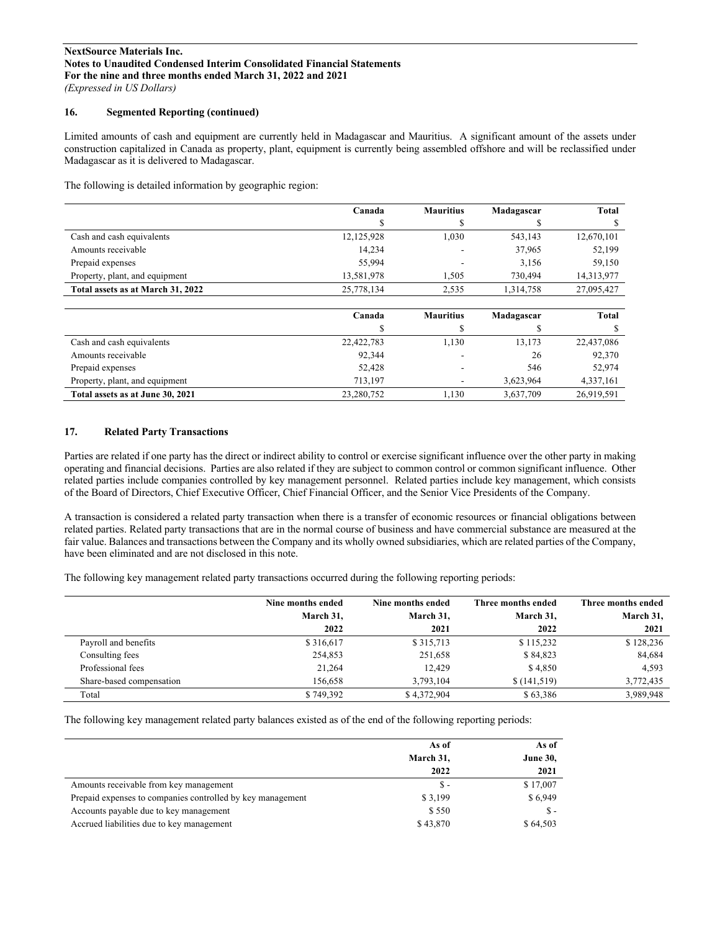## **16. Segmented Reporting (continued)**

Limited amounts of cash and equipment are currently held in Madagascar and Mauritius. A significant amount of the assets under construction capitalized in Canada as property, plant, equipment is currently being assembled offshore and will be reclassified under Madagascar as it is delivered to Madagascar.

The following is detailed information by geographic region:

|                                   | Canada     | <b>Mauritius</b> | Madagascar | Total      |
|-----------------------------------|------------|------------------|------------|------------|
|                                   |            |                  |            |            |
| Cash and cash equivalents         | 12,125,928 | 1.030            | 543,143    | 12,670,101 |
| Amounts receivable                | 14,234     |                  | 37,965     | 52,199     |
| Prepaid expenses                  | 55,994     |                  | 3,156      | 59,150     |
| Property, plant, and equipment    | 13,581,978 | 1.505            | 730,494    | 14,313,977 |
| Total assets as at March 31, 2022 | 25,778,134 | 2,535            | 1.314.758  | 27,095,427 |

|                                  | Canada     | <b>Mauritius</b>         | Madagascar | <b>Total</b> |
|----------------------------------|------------|--------------------------|------------|--------------|
|                                  |            |                          |            |              |
| Cash and cash equivalents        | 22,422,783 | 1,130                    | 13,173     | 22,437,086   |
| Amounts receivable               | 92,344     | -                        | 26         | 92,370       |
| Prepaid expenses                 | 52,428     |                          | 546        | 52.974       |
| Property, plant, and equipment   | 713.197    | $\overline{\phantom{a}}$ | 3.623.964  | 4,337,161    |
| Total assets as at June 30, 2021 | 23,280,752 | 1,130                    | 3,637,709  | 26,919,591   |

## **17. Related Party Transactions**

Parties are related if one party has the direct or indirect ability to control or exercise significant influence over the other party in making operating and financial decisions. Parties are also related if they are subject to common control or common significant influence. Other related parties include companies controlled by key management personnel. Related parties include key management, which consists of the Board of Directors, Chief Executive Officer, Chief Financial Officer, and the Senior Vice Presidents of the Company.

A transaction is considered a related party transaction when there is a transfer of economic resources or financial obligations between related parties. Related party transactions that are in the normal course of business and have commercial substance are measured at the fair value. Balances and transactions between the Company and its wholly owned subsidiaries, which are related parties of the Company, have been eliminated and are not disclosed in this note.

The following key management related party transactions occurred during the following reporting periods:

|                          | Nine months ended | Nine months ended | Three months ended | Three months ended |
|--------------------------|-------------------|-------------------|--------------------|--------------------|
|                          | March 31,         | March 31,         | March 31,          | March 31,          |
|                          | 2022              | 2021              | 2022               | 2021               |
| Payroll and benefits     | \$316,617         | \$315,713         | \$115,232          | \$128,236          |
| Consulting fees          | 254,853           | 251,658           | \$84,823           | 84,684             |
| Professional fees        | 21,264            | 12.429            | \$4,850            | 4,593              |
| Share-based compensation | 156,658           | 3.793.104         | \$(141,519)        | 3,772,435          |
| Total                    | \$749,392         | \$4,372,904       | \$63,386           | 3,989,948          |

The following key management related party balances existed as of the end of the following reporting periods:

|                                                            | As of     | As of           |
|------------------------------------------------------------|-----------|-----------------|
|                                                            | March 31, | <b>June 30,</b> |
|                                                            | 2022      | 2021            |
| Amounts receivable from key management                     | $S-$      | \$17,007        |
| Prepaid expenses to companies controlled by key management | \$3,199   | \$6,949         |
| Accounts payable due to key management                     | \$550     | Տ -             |
| Accrued liabilities due to key management                  | \$43,870  | \$64.503        |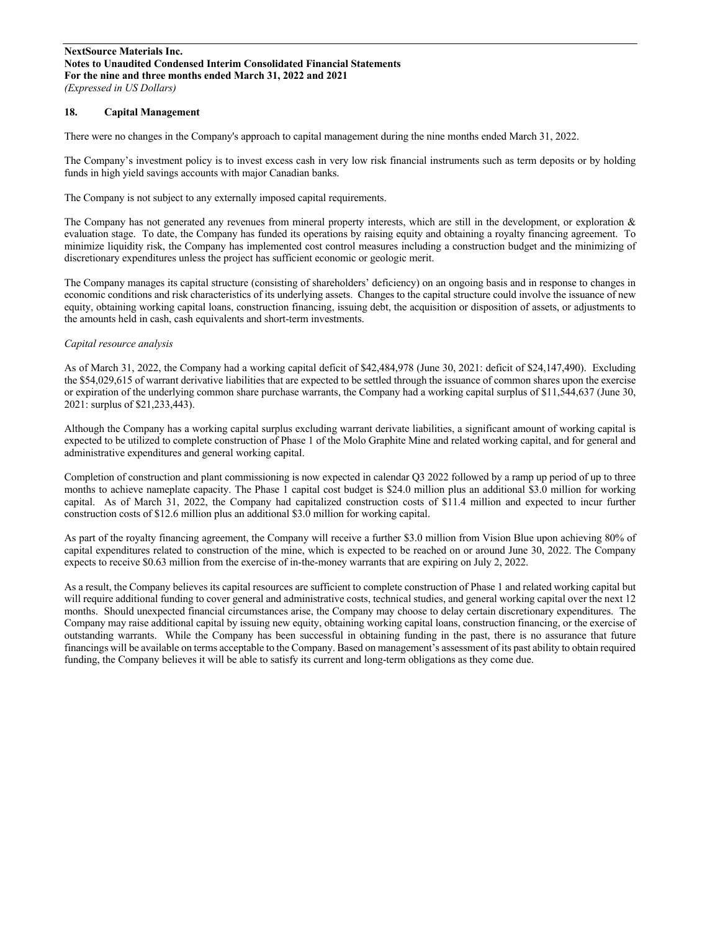## **18. Capital Management**

There were no changes in the Company's approach to capital management during the nine months ended March 31, 2022.

The Company's investment policy is to invest excess cash in very low risk financial instruments such as term deposits or by holding funds in high yield savings accounts with major Canadian banks.

The Company is not subject to any externally imposed capital requirements.

The Company has not generated any revenues from mineral property interests, which are still in the development, or exploration & evaluation stage. To date, the Company has funded its operations by raising equity and obtaining a royalty financing agreement. To minimize liquidity risk, the Company has implemented cost control measures including a construction budget and the minimizing of discretionary expenditures unless the project has sufficient economic or geologic merit.

The Company manages its capital structure (consisting of shareholders' deficiency) on an ongoing basis and in response to changes in economic conditions and risk characteristics of its underlying assets. Changes to the capital structure could involve the issuance of new equity, obtaining working capital loans, construction financing, issuing debt, the acquisition or disposition of assets, or adjustments to the amounts held in cash, cash equivalents and short-term investments.

#### *Capital resource analysis*

As of March 31, 2022, the Company had a working capital deficit of \$42,484,978 (June 30, 2021: deficit of \$24,147,490). Excluding the \$54,029,615 of warrant derivative liabilities that are expected to be settled through the issuance of common shares upon the exercise or expiration of the underlying common share purchase warrants, the Company had a working capital surplus of \$11,544,637 (June 30, 2021: surplus of \$21,233,443).

Although the Company has a working capital surplus excluding warrant derivate liabilities, a significant amount of working capital is expected to be utilized to complete construction of Phase 1 of the Molo Graphite Mine and related working capital, and for general and administrative expenditures and general working capital.

Completion of construction and plant commissioning is now expected in calendar Q3 2022 followed by a ramp up period of up to three months to achieve nameplate capacity. The Phase 1 capital cost budget is \$24.0 million plus an additional \$3.0 million for working capital. As of March 31, 2022, the Company had capitalized construction costs of \$11.4 million and expected to incur further construction costs of \$12.6 million plus an additional \$3.0 million for working capital.

As part of the royalty financing agreement, the Company will receive a further \$3.0 million from Vision Blue upon achieving 80% of capital expenditures related to construction of the mine, which is expected to be reached on or around June 30, 2022. The Company expects to receive \$0.63 million from the exercise of in-the-money warrants that are expiring on July 2, 2022.

As a result, the Company believes its capital resources are sufficient to complete construction of Phase 1 and related working capital but will require additional funding to cover general and administrative costs, technical studies, and general working capital over the next 12 months. Should unexpected financial circumstances arise, the Company may choose to delay certain discretionary expenditures. The Company may raise additional capital by issuing new equity, obtaining working capital loans, construction financing, or the exercise of outstanding warrants. While the Company has been successful in obtaining funding in the past, there is no assurance that future financings will be available on terms acceptable to the Company. Based on management's assessment of its past ability to obtain required funding, the Company believes it will be able to satisfy its current and long-term obligations as they come due.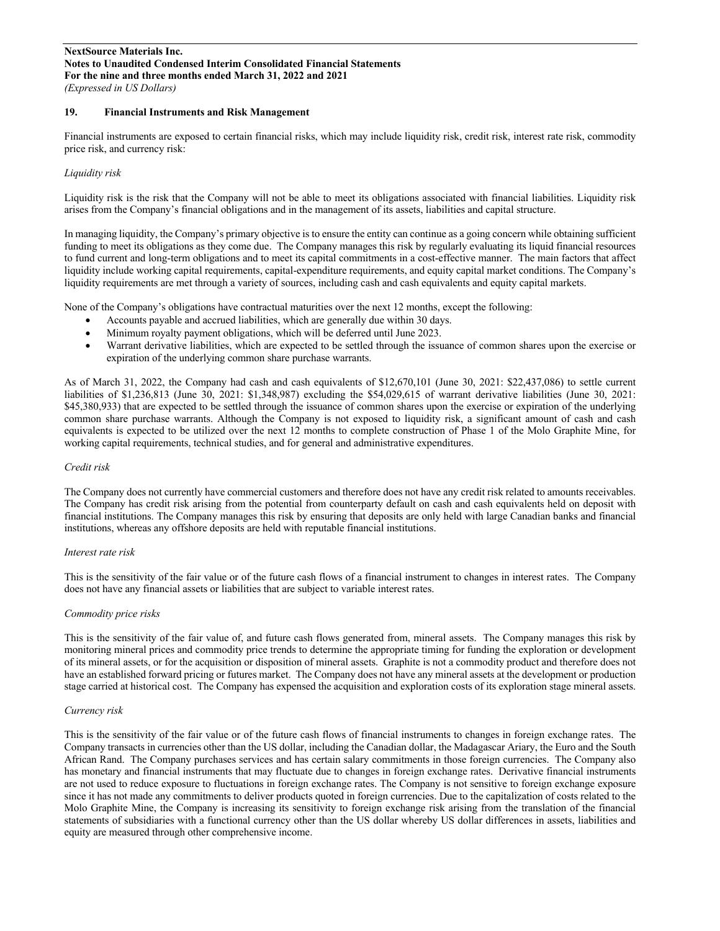## **19. Financial Instruments and Risk Management**

Financial instruments are exposed to certain financial risks, which may include liquidity risk, credit risk, interest rate risk, commodity price risk, and currency risk:

## *Liquidity risk*

Liquidity risk is the risk that the Company will not be able to meet its obligations associated with financial liabilities. Liquidity risk arises from the Company's financial obligations and in the management of its assets, liabilities and capital structure.

In managing liquidity, the Company's primary objective is to ensure the entity can continue as a going concern while obtaining sufficient funding to meet its obligations as they come due. The Company manages this risk by regularly evaluating its liquid financial resources to fund current and long-term obligations and to meet its capital commitments in a cost-effective manner. The main factors that affect liquidity include working capital requirements, capital-expenditure requirements, and equity capital market conditions. The Company's liquidity requirements are met through a variety of sources, including cash and cash equivalents and equity capital markets.

None of the Company's obligations have contractual maturities over the next 12 months, except the following:

- Accounts payable and accrued liabilities, which are generally due within 30 days.
- Minimum royalty payment obligations, which will be deferred until June 2023.
- Warrant derivative liabilities, which are expected to be settled through the issuance of common shares upon the exercise or expiration of the underlying common share purchase warrants.

As of March 31, 2022, the Company had cash and cash equivalents of \$12,670,101 (June 30, 2021: \$22,437,086) to settle current liabilities of \$1,236,813 (June 30, 2021: \$1,348,987) excluding the \$54,029,615 of warrant derivative liabilities (June 30, 2021: \$45,380,933) that are expected to be settled through the issuance of common shares upon the exercise or expiration of the underlying common share purchase warrants. Although the Company is not exposed to liquidity risk, a significant amount of cash and cash equivalents is expected to be utilized over the next 12 months to complete construction of Phase 1 of the Molo Graphite Mine, for working capital requirements, technical studies, and for general and administrative expenditures.

## *Credit risk*

The Company does not currently have commercial customers and therefore does not have any credit risk related to amounts receivables. The Company has credit risk arising from the potential from counterparty default on cash and cash equivalents held on deposit with financial institutions. The Company manages this risk by ensuring that deposits are only held with large Canadian banks and financial institutions, whereas any offshore deposits are held with reputable financial institutions.

#### *Interest rate risk*

This is the sensitivity of the fair value or of the future cash flows of a financial instrument to changes in interest rates. The Company does not have any financial assets or liabilities that are subject to variable interest rates.

## *Commodity price risks*

This is the sensitivity of the fair value of, and future cash flows generated from, mineral assets. The Company manages this risk by monitoring mineral prices and commodity price trends to determine the appropriate timing for funding the exploration or development of its mineral assets, or for the acquisition or disposition of mineral assets. Graphite is not a commodity product and therefore does not have an established forward pricing or futures market. The Company does not have any mineral assets at the development or production stage carried at historical cost. The Company has expensed the acquisition and exploration costs of its exploration stage mineral assets.

#### *Currency risk*

This is the sensitivity of the fair value or of the future cash flows of financial instruments to changes in foreign exchange rates. The Company transacts in currencies other than the US dollar, including the Canadian dollar, the Madagascar Ariary, the Euro and the South African Rand. The Company purchases services and has certain salary commitments in those foreign currencies. The Company also has monetary and financial instruments that may fluctuate due to changes in foreign exchange rates. Derivative financial instruments are not used to reduce exposure to fluctuations in foreign exchange rates. The Company is not sensitive to foreign exchange exposure since it has not made any commitments to deliver products quoted in foreign currencies. Due to the capitalization of costs related to the Molo Graphite Mine, the Company is increasing its sensitivity to foreign exchange risk arising from the translation of the financial statements of subsidiaries with a functional currency other than the US dollar whereby US dollar differences in assets, liabilities and equity are measured through other comprehensive income.